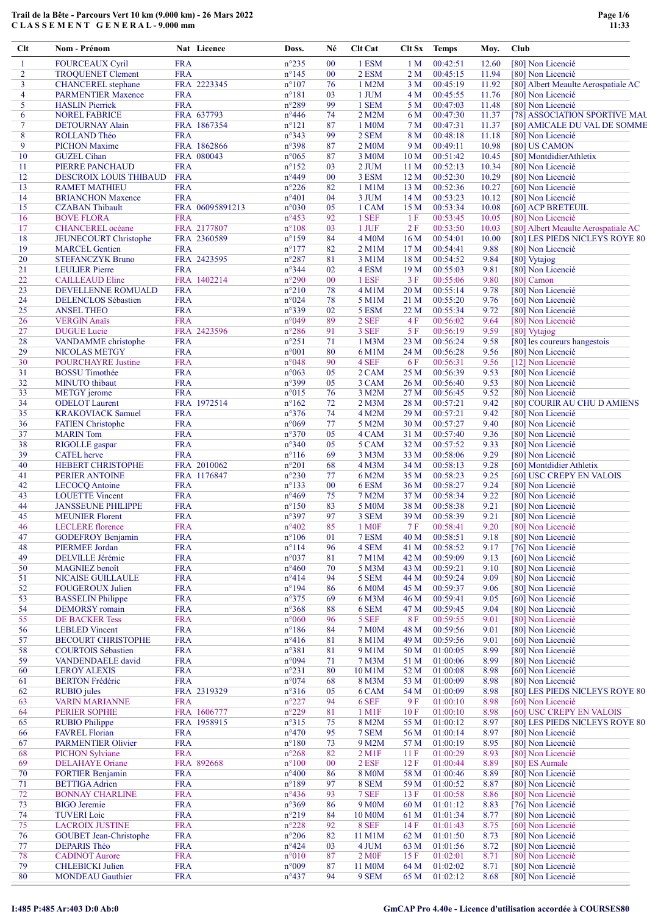| Clt            | Nom - Prénom                                        |                          | Nat Licence     | Doss.                            | Né       | Clt Cat                    |                 | Clt Sx Temps         | Moy.         | Club                                   |
|----------------|-----------------------------------------------------|--------------------------|-----------------|----------------------------------|----------|----------------------------|-----------------|----------------------|--------------|----------------------------------------|
| -1             | <b>FOURCEAUX Cyril</b>                              | <b>FRA</b>               |                 | $n^{\circ}235$                   | 00       | 1 ESM                      | 1 <sub>M</sub>  | 00:42:51             | 12.60        | [80] Non Licencié                      |
| $\overline{2}$ | <b>TROQUENET Clement</b>                            | <b>FRA</b>               |                 | $n^{\circ}$ 145                  | 00       | 2 ESM                      | 2 <sub>M</sub>  | 00:45:15             | 11.94        | [80] Non Licencié                      |
| 3              | <b>CHANCEREL</b> stephane                           |                          | FRA 2223345     | $n^{\circ}107$                   | 76       | 1 M2M                      | 3 <sub>M</sub>  | 00:45:19             | 11.92        | [80] Albert Meaulte Aerospatiale AC    |
| 4              | <b>PARMENTIER Maxence</b>                           | <b>FRA</b>               |                 | $n^{\circ}181$                   | 03       | 1 JUM                      | 4 <sub>M</sub>  | 00:45:55             | 11.76        | [80] Non Licencié                      |
| 5              | <b>HASLIN</b> Pierrick                              | <b>FRA</b>               |                 | $n^{\circ}289$                   | 99       | 1 SEM                      | 5 M             | 00:47:03             | 11.48        | [80] Non Licencié                      |
| 6              | <b>NOREL FABRICE</b>                                |                          | FRA 637793      | $n^{\circ}446$                   | 74       | 2 M2M                      | 6 M             | 00:47:30             | 11.37        | [78] ASSOCIATION SPORTIVE MAU          |
| $\overline{7}$ | <b>DETOURNAY Alain</b>                              |                          | FRA 1867354     | $n^{\circ}121$                   | 87       | 1 M0M                      | 7 <sub>M</sub>  | 00:47:31             | 11.37        | [80] AMICALE DU VAL DE SOMME           |
| 8              | ROLLAND Théo                                        | <b>FRA</b>               |                 | $n^{\circ}343$                   | 99       | 2 SEM                      | 8 M             | 00:48:18             | 11.18        | [80] Non Licencié                      |
| 9              | <b>PICHON Maxime</b>                                |                          | FRA 1862866     | n°398                            | 87       | 2 M <sub>0</sub> M         | 9 M             | 00:49:11             | 10.98        | [80] US CAMON                          |
| 10             | <b>GUZEL</b> Cihan                                  |                          | FRA 080043      | $n^{\circ}065$                   | 87       | 3 M <sub>0</sub> M         | 10 <sub>M</sub> | 00:51:42             | 10.45        | [80] MontdidierAthletix                |
| 11             | PIERRE PANCHAUD                                     | <b>FRA</b>               |                 | $n^{\circ}152$                   | 03       | $2$ JUM                    | 11 <sub>M</sub> | 00:52:13             | 10.34        | [80] Non Licencié                      |
| 12             | DESCROIX LOUIS THIBAUD                              | <b>FRA</b>               |                 | $n^{\circ}449$                   | 00       | 3 ESM                      | 12 <sub>M</sub> | 00:52:30             | 10.29        | [80] Non Licencié                      |
| 13             | <b>RAMET MATHIEU</b>                                | <b>FRA</b>               |                 | $n^{\circ}226$                   | 82       | 1 M1M                      | 13 M            | 00:52:36             | 10.27        | [60] Non Licencié                      |
| 14             | <b>BRIANCHON Maxence</b>                            | <b>FRA</b>               |                 | $n^{\circ}401$                   | 04       | 3 JUM                      | 14M             | 00:53:23             | 10.12        | [80] Non Licencié                      |
| 15             | <b>CZABAN</b> Thibault                              |                          | FRA 06095891213 | n°030                            | 05       | 1 CAM                      | 15 M            | 00:53:34             | 10.08        | [60] ACP BRETEUIL                      |
| 16             | <b>BOVE FLORA</b>                                   | <b>FRA</b>               |                 | $n^{\circ}453$                   | 92       | 1 SEF                      | 1F              | 00:53:45             | 10.05        | [80] Non Licencié                      |
| 17             | <b>CHANCEREL</b> océane                             |                          | FRA 2177807     | $n^{\circ}108$                   | 03       | $1$ JUF                    | 2F              | 00:53:50             | 10.03        | [80] Albert Meaulte Aerospatiale AC    |
| 18             | JEUNECOURT Christophe                               |                          | FRA 2360589     | $n^{\circ}159$                   | 84       | 4 M <sub>0</sub> M         | 16 <sub>M</sub> | 00:54:01             | 10.00        | [80] LES PIEDS NICLEYS ROYE 80         |
| 19             | <b>MARCEL Gentien</b>                               | <b>FRA</b>               |                 | $n^{\circ}177$                   | 82       | 2 M1M                      | 17 <sub>M</sub> | 00:54:41             | 9.88         | [80] Non Licencié                      |
| 20             | <b>STEFANCZYK Bruno</b>                             |                          | FRA 2423595     | $n^{\circ}287$                   | 81       | 3 M1M                      | 18 <sub>M</sub> | 00:54:52             | 9.84         | [80] Vytajog                           |
| 21             | <b>LEULIER Pierre</b>                               | <b>FRA</b>               |                 | $n^{\circ}344$                   | 02       | 4 ESM                      | 19 <sub>M</sub> | 00:55:03             | 9.81         | [80] Non Licencié                      |
| 22             | <b>CAILLEAUD Eline</b>                              |                          | FRA 1402214     | $n^{\circ}290$                   | 00       | 1 ESF                      | 3F              | 00:55:06             | 9.80         | [80] Camon                             |
| 23             | DEVELLENNE ROMUALD                                  | <b>FRA</b>               |                 | $n^{\circ}210$                   | 78       | 4 M1M                      | 20 <sub>M</sub> | 00:55:14             | 9.78         | [80] Non Licencié                      |
| 24             | <b>DELENCLOS</b> Sébastien                          | <b>FRA</b>               |                 | $n^{\circ}024$                   | 78       | 5 M1M                      | 21 M            | 00:55:20             | 9.76         | [60] Non Licencié                      |
| 25             | <b>ANSEL THEO</b>                                   | <b>FRA</b>               |                 | n°339                            | 02       | 5 ESM                      | 22 M            | 00:55:34             | 9.72         | [80] Non Licencié                      |
| 26             | <b>VERGIN Anaïs</b>                                 | <b>FRA</b>               |                 | n°049                            | 89       | 2 SEF                      | 4F              | 00:56:02             | 9.64         | [80] Non Licencié                      |
| 27             | <b>DUGUE</b> Lucie                                  |                          | FRA 2423596     | $n^{\circ}286$                   | 91       | 3 SEF                      | 5F              | 00:56:19             | 9.59         | [80] Vytajog                           |
| 28             | VANDAMME christophe                                 | <b>FRA</b>               |                 | $n^{\circ}251$                   | 71       | 1 M3M                      | 23 M            | 00:56:24             | 9.58         | [80] les coureurs hangestois           |
| 29             | NICOLAS METGY                                       | <b>FRA</b>               |                 | n°001                            | 80       | 6 M1M                      | 24 M            | 00:56:28             | 9.56         | [80] Non Licencié                      |
| 30             | <b>POURCHAYRE Justine</b>                           | <b>FRA</b>               |                 | $n^{\circ}048$                   | 90       | 4 SEF                      | 6F              | 00:56:31             | 9.56         | [12] Non Licencié                      |
| 31             | <b>BOSSU</b> Timothée                               | <b>FRA</b>               |                 | $n^{\circ}063$                   | 05       | 2 CAM                      | 25 M            | 00:56:39             | 9.53         | [80] Non Licencié                      |
| 32             | <b>MINUTO</b> thibaut                               | <b>FRA</b>               |                 | $n^{\circ}399$                   | 05       | 3 CAM                      | 26 M            | 00:56:40             | 9.53         | [80] Non Licencié                      |
| 33             | <b>METGY</b> jerome                                 | <b>FRA</b>               |                 | $n^{\circ}015$                   | 76       | 3 M2M                      | 27 M            | 00:56:45             | 9.52         | [80] Non Licencié                      |
| 34             | <b>ODELOT</b> Laurent                               |                          | FRA 1972514     | $n^{\circ}162$                   | 72       | 2 M3M                      | 28 M            | 00:57:21             | 9.42         | [80] COURIR AU CHU D AMIENS            |
| 35             | <b>KRAKOVIACK Samuel</b>                            | <b>FRA</b>               |                 | $n^{\circ}376$                   | 74       | 4 M2M                      | 29 M            | 00:57:21             | 9.42         | [80] Non Licencié                      |
| 36             | <b>FATIEN</b> Christophe                            | <b>FRA</b>               |                 | $n^{\circ}069$                   | 77       | 5 M2M                      | 30 M            | 00:57:27             | 9.40         | [80] Non Licencié                      |
| 37             | <b>MARIN</b> Tom                                    | <b>FRA</b>               |                 | $n^{\circ}370$                   | 05       | 4 CAM                      | 31 M            | 00:57:40             | 9.36         | [80] Non Licencié                      |
| 38             | RIGOLLE gaspar                                      | <b>FRA</b>               |                 | $n^{\circ}340$                   | 05       | 5 CAM                      | 32 M            | 00:57:52             | 9.33         | [80] Non Licencié                      |
| 39             | <b>CATEL</b> herve                                  | <b>FRA</b>               |                 | $n^{\circ}116$                   | 69       | 3 M3M                      | 33 M            | 00:58:06             | 9.29         | [80] Non Licencié                      |
| 40             | <b>HEBERT CHRISTOPHE</b>                            |                          | FRA 2010062     | $n^{\circ}201$                   | 68       | 4 M3M                      | 34 M            | 00:58:13             | 9.28         | [60] Montdidier Athletix               |
| 41             | PERIER ANTOINE                                      |                          | FRA 1176847     | $n^{\circ}230$                   | 77       | 6 M2M                      | 35 M            | 00:58:23             | 9.25         | [60] USC CREPY EN VALOIS               |
| 42             | <b>LECOCQ</b> Antoine                               | <b>FRA</b>               |                 | $n^{\circ}133$                   | 00       | 6 ESM                      | 36 M            | 00:58:27             | 9.24         | [80] Non Licencié                      |
| 43<br>44       | <b>LOUETTE Vincent</b>                              | <b>FRA</b><br><b>FRA</b> |                 | $n^{\circ}469$<br>$n^{\circ}150$ | 75<br>83 | 7 M2M<br>5 M0M             | 37 M<br>38 M    | 00:58:34<br>00:58:38 | 9.22<br>9.21 | [80] Non Licencié<br>[80] Non Licencié |
| 45             | <b>JANSSEUNE PHILIPPE</b><br><b>MEUNIER Florent</b> | <b>FRA</b>               |                 | n°397                            | 97       |                            | 39 M            | 00:58:39             | 9.21         | [80] Non Licencié                      |
| 46             | <b>LECLERE</b> florence                             | <b>FRA</b>               |                 | $n^{\circ}402$                   | 85       | 3 SEM<br>1 M <sub>OF</sub> | 7 F             | 00:58:41             | 9.20         | [80] Non Licencié                      |
| 47             | <b>GODEFROY Benjamin</b>                            | <b>FRA</b>               |                 | $n^{\circ}106$                   | 01       | 7 ESM                      | 40 M            | 00:58:51             | 9.18         | [80] Non Licencié                      |
| 48             | <b>PIERMEE</b> Jordan                               | <b>FRA</b>               |                 | $n^{\circ}114$                   | 96       | 4 SEM                      | 41 M            | 00:58:52             | 9.17         | [76] Non Licencié                      |
| 49             | <b>DELVILLE Jérémie</b>                             | <b>FRA</b>               |                 | n°037                            | 81       | 7 M1M                      | 42 M            | 00:59:09             | 9.13         | [60] Non Licencié                      |
| 50             | <b>MAGNIEZ</b> benoît                               | <b>FRA</b>               |                 | $n^{\circ}460$                   | 70       | 5 M3M                      | 43 M            | 00:59:21             | 9.10         | [80] Non Licencié                      |
| 51             | NICAISE GUILLAULE                                   | <b>FRA</b>               |                 | $n^{\circ}414$                   | 94       | 5 SEM                      | 44 M            | 00:59:24             | 9.09         | [80] Non Licencié                      |
| 52             | <b>FOUGEROUX Julien</b>                             | <b>FRA</b>               |                 | $n^{\circ}194$                   | 86       | 6 M0M                      | 45 M            | 00:59:37             | 9.06         | [80] Non Licencié                      |
| 53             | <b>BASSELIN</b> Philippe                            | <b>FRA</b>               |                 | $n^{\circ}375$                   | 69       | 6 M3M                      | 46 M            | 00:59:41             | 9.05         | [60] Non Licencié                      |
| 54             | <b>DEMORSY</b> romain                               | <b>FRA</b>               |                 | $n^{\circ}368$                   | 88       | 6 SEM                      | 47 M            | 00:59:45             | 9.04         | [80] Non Licencié                      |
| 55             | DE BACKER Tess                                      | <b>FRA</b>               |                 | $n^{\circ}060$                   | 96       | 5 SEF                      | 8F              | 00:59:55             | 9.01         | [80] Non Licencié                      |
| 56             | <b>LEBLED</b> Vincent                               | <b>FRA</b>               |                 | $n^{\circ}186$                   | 84       | <b>7 M0M</b>               | 48 M            | 00:59:56             | 9.01         | [80] Non Licencié                      |
| 57             | <b>BECOURT CHRISTOPHE</b>                           | <b>FRA</b>               |                 | $n^{\circ}416$                   | 81       | 8 M1M                      | 49 M            | 00:59:56             | 9.01         | [60] Non Licencié                      |
| 58             | <b>COURTOIS Sébastien</b>                           | <b>FRA</b>               |                 | n°381                            | 81       | 9 M1M                      | 50 M            | 01:00:05             | 8.99         | [80] Non Licencié                      |
| 59             | VANDENDAELE david                                   | <b>FRA</b>               |                 | n°094                            | 71       | 7 M3M                      | 51 M            | 01:00:06             | 8.99         | [80] Non Licencié                      |
| 60             | <b>LEROY ALEXIS</b>                                 | <b>FRA</b>               |                 | $n^{\circ}231$                   | 80       | 10 M1M                     | 52 M            | 01:00:08             | 8.98         | [60] Non Licencié                      |
| 61             | <b>BERTON Frédéric</b>                              | <b>FRA</b>               |                 | $n^{\circ}074$                   | 68       | 8 M3M                      | 53 M            | 01:00:09             | 8.98         | [80] Non Licencié                      |
| 62             | <b>RUBIO</b> jules                                  |                          | FRA 2319329     | $n^{\circ}316$                   | 05       | 6 CAM                      | 54 M            | 01:00:09             | 8.98         | [80] LES PIEDS NICLEYS ROYE 80         |
| 63             | <b>VARIN MARIANNE</b>                               | <b>FRA</b>               |                 | $n^{\circ}227$                   | 94       | 6 SEF                      | 9F              | 01:00:10             | 8.98         | [60] Non Licencié                      |
| 64             | <b>PERIER SOPHIE</b>                                |                          | FRA 1606777     | $n^{\circ}229$                   | 81       | 1 M1F                      | 10 F            | 01:00:10             | 8.98         | [60] USC CREPY EN VALOIS               |
| 65             | <b>RUBIO Philippe</b>                               |                          | FRA 1958915     | $n^{\circ}315$                   | 75       | 8 M2M                      | 55 M            | 01:00:12             | 8.97         | [80] LES PIEDS NICLEYS ROYE 80         |
| 66             | <b>FAVREL Florian</b>                               | <b>FRA</b>               |                 | $n^{\circ}470$                   | 95       | 7 SEM                      | 56 M            | 01:00:14             | 8.97         | [80] Non Licencié                      |
| 67             | <b>PARMENTIER Olivier</b>                           | <b>FRA</b>               |                 | $n^{\circ}180$                   | 73       | 9 M2M                      | 57 M            | 01:00:19             | 8.95         | [80] Non Licencié                      |
| 68             | <b>PICHON Sylviane</b>                              | <b>FRA</b>               |                 | $n^{\circ}268$                   | 82       | $2$ M $1$ F                | 11F             | 01:00:29             | 8.93         | [80] Non Licencié                      |
| 69             | <b>DELAHAYE</b> Oriane                              |                          | FRA 892668      | $n^{\circ}100$                   | 00       | 2 ESF                      | 12F             | 01:00:44             | 8.89         | [80] ES Aumale                         |
| 70             | <b>FORTIER Benjamin</b>                             | <b>FRA</b>               |                 | $n^{\circ}400$                   | 86       | 8 M <sub>0</sub> M         | 58 M            | 01:00:46             | 8.89         | [80] Non Licencié                      |
| 71             | <b>BETTIGA Adrien</b>                               | <b>FRA</b>               |                 | $n^{\circ}189$                   | 97       | 8 SEM                      | 59 M            | 01:00:52             | 8.87         | [80] Non Licencié                      |
| 72             | <b>BONNAY CHARLINE</b>                              | <b>FRA</b>               |                 | $n^{\circ}436$                   | 93       | 7 SEF                      | 13F             | 01:00:58             | 8.86         | [80] Non Licencié                      |
| 73             | <b>BIGO</b> Jeremie                                 | <b>FRA</b>               |                 | $n^{\circ}369$                   | 86       | 9 M <sub>0</sub> M         | 60 M            | 01:01:12             | 8.83         | [76] Non Licencié                      |
| 74             | <b>TUVERI</b> Loic                                  | <b>FRA</b>               |                 | $n^{\circ}219$                   | 84       | 10 M <sub>0</sub> M        | 61 M            | 01:01:34             | 8.77         | [80] Non Licencié                      |
| 75             | <b>LACROIX JUSTINE</b>                              | <b>FRA</b>               |                 | $n^{\circ}228$                   | 92       | 8 SEF                      | 14F             | 01:01:43             | 8.75         | [60] Non Licencié                      |
| 76             | <b>GOUBET Jean-Christophe</b>                       | <b>FRA</b>               |                 | $n^{\circ}206$                   | 82       | 11 M1M                     | 62 M            | 01:01:50             | 8.73         | [80] Non Licencié                      |
| 77             | <b>DEPARIS Théo</b>                                 | <b>FRA</b>               |                 | $n^{\circ}424$                   | 03       | 4 JUM                      | 63 M            | 01:01:56             | 8.72         | [80] Non Licencié                      |
| 78             | <b>CADINOT Aurore</b>                               | <b>FRA</b>               |                 | $n^{\circ}010$                   | 87       | 2 M <sub>OF</sub>          | 15F             | 01:02:01             | 8.71         | [80] Non Licencié                      |
| 79             | <b>CHLEBICKI</b> Julien                             | <b>FRA</b>               |                 | $n^{\circ}009$                   | 87       | 11 M0M                     | 64 M            | 01:02:02             | 8.71         | [80] Non Licencié                      |
| 80             | <b>MONDEAU</b> Gauthier                             | <b>FRA</b>               |                 | $n^{\circ}437$                   | 94       | 9 SEM                      | 65 M            | 01:02:12             | 8.68         | [80] Non Licencié                      |
|                |                                                     |                          |                 |                                  |          |                            |                 |                      |              |                                        |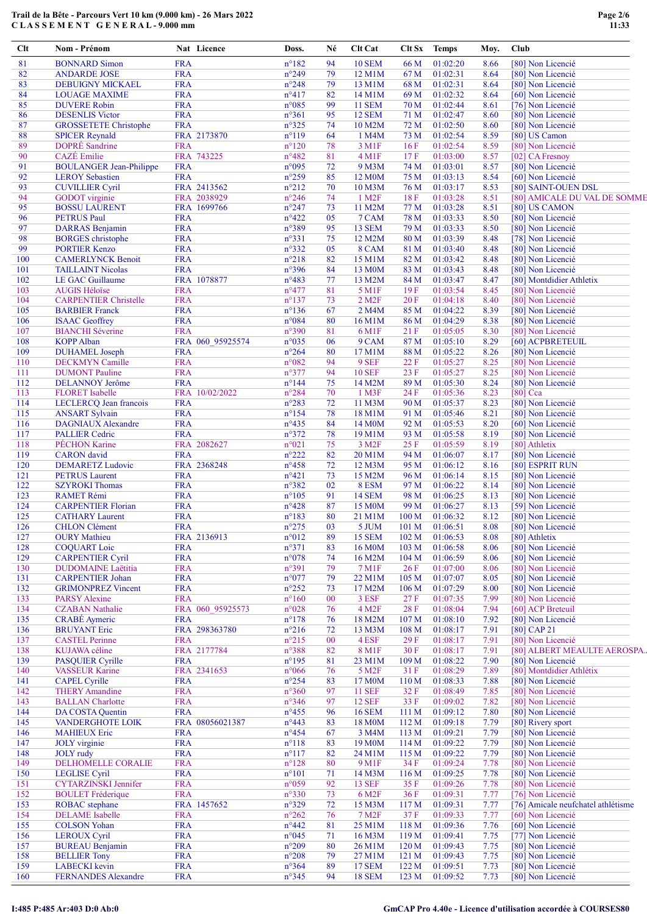| Clt        | Nom - Prénom                                       |                          | Nat Licence      | Doss.                            | Né       | Clt Cat                        | Clt Sx           | <b>Temps</b>         | Moy.         | Club                                          |
|------------|----------------------------------------------------|--------------------------|------------------|----------------------------------|----------|--------------------------------|------------------|----------------------|--------------|-----------------------------------------------|
| 81         | <b>BONNARD Simon</b>                               | <b>FRA</b>               |                  | $n^{\circ}182$                   | 94       | <b>10 SEM</b>                  | 66 M             | 01:02:20             | 8.66         | [80] Non Licencié                             |
| 82         | <b>ANDARDE JOSE</b>                                | <b>FRA</b>               |                  | $n^{\circ}249$                   | 79       | 12 M1M                         | 67 M             | 01:02:31             | 8.64         | [80] Non Licencié                             |
| 83         | <b>DEBUIGNY MICKAEL</b>                            | <b>FRA</b>               |                  | $n^{\circ}248$                   | 79       | 13 M1M                         | 68 M             | 01:02:31             | 8.64         | [80] Non Licencié                             |
| 84         | <b>LOUAGE MAXIME</b>                               | <b>FRA</b>               |                  | $n^{\circ}417$                   | 82       | 14 M1M                         | 69 M             | 01:02:32             | 8.64         | [60] Non Licencié                             |
| 85         | <b>DUVERE Robin</b>                                | <b>FRA</b>               |                  | $n^{\circ}085$                   | 99       | <b>11 SEM</b>                  | 70 M             | 01:02:44             | 8.61         | [76] Non Licencié                             |
| 86         | <b>DESENLIS Victor</b>                             | <b>FRA</b>               |                  | $n^{\circ}361$                   | 95       | <b>12 SEM</b>                  | 71 M             | 01:02:47             | 8.60         | [80] Non Licencié                             |
| 87         | <b>GROSSETETE Christophe</b>                       | <b>FRA</b>               |                  | $n^{\circ}325$                   | 74       | 10 M2M                         | 72 M             | 01:02:50             | 8.60         | [80] Non Licencié                             |
| 88         | <b>SPICER Reynald</b>                              |                          | FRA 2173870      | $n^{\circ}119$                   | 64       | 1 M4M                          | 73 M             | 01:02:54             | 8.59         | [80] US Camon                                 |
| 89         | DOPRÉ Sandrine                                     | <b>FRA</b>               |                  | $n^{\circ}120$                   | 78       | 3 M1F                          | 16F              | 01:02:54             | 8.59         | [80] Non Licencié                             |
| 90         | CAZÉ Emilie                                        |                          | FRA 743225       | $n^{\circ}482$                   | 81       | 4 M1F                          | 17F              | 01:03:00             | 8.57         | [02] CA Fresnoy                               |
| 91         | <b>BOULANGER Jean-Philippe</b>                     | <b>FRA</b>               |                  | n°095                            | 72       | 9 M3M                          | 74 M             | 01:03:01             | 8.57         | [80] Non Licencié                             |
| 92         | <b>LEROY</b> Sebastien                             | <b>FRA</b>               |                  | $n^{\circ}259$                   | 85       | 12 M0M                         | 75 M             | 01:03:13             | 8.54         | [60] Non Licencié                             |
| 93         | <b>CUVILLIER Cyril</b>                             |                          | FRA 2413562      | $n^{\circ}212$                   | 70       | 10 M3M                         | 76 M             | 01:03:17             | 8.53         | [80] SAINT-OUEN DSL                           |
| 94         | <b>GODOT</b> virginie                              |                          | FRA 2038929      | $n^{\circ}246$                   | 74       | 1 M <sub>2</sub> F             | 18F              | 01:03:28             | 8.51         | [80] AMICALE DU VAL DE SOMME                  |
| 95         | <b>BOSSU LAURENT</b>                               |                          | FRA 1699766      | $n^{\circ}247$                   | 73       | 11 M2M                         | 77 M             | 01:03:28             | 8.51         | [80] US CAMON                                 |
| 96         | <b>PETRUS Paul</b>                                 | <b>FRA</b>               |                  | $n^{\circ}422$                   | 05       | 7 CAM                          | 78 M             | 01:03:33             | 8.50         | [80] Non Licencié                             |
| 97         | <b>DARRAS</b> Benjamin                             | <b>FRA</b>               |                  | n°389                            | 95       | 13 SEM                         | 79 M             | 01:03:33             | 8.50         | [80] Non Licencié                             |
| 98<br>99   | <b>BORGES</b> christophe                           | <b>FRA</b><br><b>FRA</b> |                  | $n^{\circ}331$                   | 75<br>05 | 12 M2M                         | 80 M             | 01:03:39             | 8.48         | [78] Non Licencié                             |
| 100        | <b>PORTIER Kenzo</b><br><b>CAMERLYNCK Benoit</b>   | <b>FRA</b>               |                  | $n^{\circ}332$<br>$n^{\circ}218$ | 82       | 8 CAM<br>15 M1M                | 81 M<br>82 M     | 01:03:40<br>01:03:42 | 8.48<br>8.48 | [80] Non Licencié                             |
|            |                                                    | <b>FRA</b>               |                  |                                  | 84       |                                |                  | 01:03:43             | 8.48         | [80] Non Licencié                             |
| 101        | <b>TAILLAINT Nicolas</b>                           |                          |                  | n°396                            |          | 13 M0M                         | 83 M             |                      |              | [80] Non Licencié                             |
| 102<br>103 | LE GAC Guillaume<br><b>AUGIS Héloïse</b>           | <b>FRA</b>               | FRA 1078877      | $n^{\circ}483$<br>$n^{\circ}477$ | 77<br>81 | 13 M2M<br>5 M1F                | 84 M<br>19F      | 01:03:47<br>01:03:54 | 8.47<br>8.45 | [80] Montdidier Athletix<br>[80] Non Licencié |
| 104        | <b>CARPENTIER Christelle</b>                       | <b>FRA</b>               |                  | $n^{\circ}137$                   | 73       | $2$ M <sub>2</sub> $F$         | 20F              | 01:04:18             | 8.40         | [80] Non Licencié                             |
| 105        | <b>BARBIER Franck</b>                              | <b>FRA</b>               |                  | $n^{\circ}$ 136                  | 67       | 2 M4M                          | 85 M             | 01:04:22             | 8.39         | [80] Non Licencié                             |
| 106        | <b>ISAAC</b> Geoffrey                              | <b>FRA</b>               |                  | n°084                            | 80       | 16 M1M                         | 86 M             | 01:04:29             | 8.38         | [80] Non Licencié                             |
| 107        | <b>BIANCHI</b> Séverine                            | <b>FRA</b>               |                  | n°390                            | 81       | 6 M1F                          | 21F              | 01:05:05             | 8.30         | [80] Non Licencié                             |
| 108        | <b>KOPP Alban</b>                                  |                          | FRA 060 95925574 | n°035                            | 06       | 9 CAM                          | 87 M             | 01:05:10             | 8.29         | [60] ACPBRETEUIL                              |
| 109        | <b>DUHAMEL</b> Joseph                              | <b>FRA</b>               |                  | $n^{\circ}264$                   | 80       | 17 M1M                         | 88 M             | 01:05:22             | 8.26         | [80] Non Licencié                             |
| 110        | <b>DECKMYN</b> Camille                             | <b>FRA</b>               |                  | n°082                            | 94       | 9 SEF                          | 22F              | 01:05:27             | 8.25         | [80] Non Licencié                             |
| 111        | <b>DUMONT Pauline</b>                              | <b>FRA</b>               |                  | n°377                            | 94       | <b>10 SEF</b>                  | 23 F             | 01:05:27             | 8.25         | [80] Non Licencié                             |
| 112        | DELANNOY Jerôme                                    | <b>FRA</b>               |                  | $n^{\circ}$ 144                  | 75       | 14 M2M                         | 89 M             | 01:05:30             | 8.24         | [80] Non Licencié                             |
| 113        | <b>FLORET</b> Isabelle                             |                          | FRA 10/02/2022   | $n^{\circ}284$                   | 70       | $1$ M3F                        | 24 F             | 01:05:36             | 8.23         | $[80]$ Cca                                    |
| 114        | LECLERCQ Jean francois                             | <b>FRA</b>               |                  | $n^{\circ}283$                   | 72       | 11 M3M                         | 90 M             | 01:05:37             | 8.23         | [80] Non Licencié                             |
| 115        | <b>ANSART Sylvain</b>                              | <b>FRA</b>               |                  | $n^{\circ}154$                   | 78       | 18 M1M                         | 91 M             | 01:05:46             | 8.21         | [80] Non Licencié                             |
| 116        | <b>DAGNIAUX</b> Alexandre                          | <b>FRA</b>               |                  | $n^{\circ}435$                   | 84       | 14 M0M                         | 92 M             | 01:05:53             | 8.20         | [60] Non Licencié                             |
| 117        | <b>PALLIER Cedric</b>                              | <b>FRA</b>               |                  | $n^{\circ}372$                   | 78       | 19 M1M                         | 93 M             | 01:05:58             | 8.19         | [80] Non Licencié                             |
| 118        | PÉCHON Karine                                      |                          | FRA 2082627      | n°021                            | 75       | 3 M <sub>2</sub> F             | 25 F             | 01:05:59             | 8.19         | [80] Athletix                                 |
| 119        | <b>CARON</b> david                                 | <b>FRA</b>               |                  | $n^{\circ}222$                   | 82       | 20 M1M                         | 94 M             | 01:06:07             | 8.17         | [80] Non Licencié                             |
| 120        | <b>DEMARETZ Ludovic</b>                            |                          | FRA 2368248      | $n^{\circ}458$                   | 72       | 12 M3M                         | 95 M             | 01:06:12             | 8.16         | [80] ESPRIT RUN                               |
| 121        | <b>PETRUS</b> Laurent                              | <b>FRA</b>               |                  | $n^{\circ}421$                   | 73       | 15 M2M                         | 96 M             | 01:06:14             | 8.15         | [80] Non Licencié                             |
| 122        | <b>SZYROKI Thomas</b>                              | <b>FRA</b>               |                  | n°382                            | 02       | 8 ESM                          | 97 M             | 01:06:22             | 8.14         | [80] Non Licencié                             |
| 123        | <b>RAMET Rémi</b>                                  | <b>FRA</b>               |                  | $n^{\circ}105$                   | 91       | <b>14 SEM</b>                  | 98 M             | 01:06:25             | 8.13         | [80] Non Licencié                             |
| 124        | <b>CARPENTIER Florian</b>                          | <b>FRA</b>               |                  | $n^{\circ}428$                   | 87       | 15 M0M                         | 99 M             | 01:06:27             | 8.13         | [59] Non Licencié                             |
| 125        | <b>CATHARY Laurent</b>                             | <b>FRA</b>               |                  | $n^{\circ}183$                   | 80       | 21 M1M                         | 100 <sub>M</sub> | 01:06:32             | 8.12         | [80] Non Licencié                             |
| 126        | <b>CHLON</b> Clément                               | <b>FRA</b>               |                  | $n^{\circ}275$                   | 03       | 5 JUM                          | 101 <sub>M</sub> | 01:06:51             | 8.08         | [80] Non Licencié                             |
| 127        | <b>OURY</b> Mathieu                                |                          | FRA 2136913      | $n^{\circ}012$                   | 89       | <b>15 SEM</b>                  | 102 M            | 01:06:53             | 8.08         | [80] Athletix                                 |
| 128        | <b>COQUART</b> Loic                                | <b>FRA</b>               |                  | n°371                            | 83       | 16 M0M                         | 103 M            | 01:06:58             | 8.06         | [80] Non Licencié                             |
| 129        | <b>CARPENTIER Cyril</b>                            | <b>FRA</b>               |                  | $n^{\circ}078$                   | 74       | 16 M2M                         | 104 M            | 01:06:59             | 8.06         | [80] Non Licencié                             |
| 130        | <b>DUDOMAINE</b> Laëtitia                          | <b>FRA</b>               |                  | n°391                            | 79       | <b>7M1F</b>                    | 26 F             | 01:07:00             | 8.06         | [80] Non Licencié                             |
| 131        | <b>CARPENTIER Johan</b>                            | <b>FRA</b>               |                  | $n^{\circ}077$                   | 79       | 22 M1M                         | 105 M            | 01:07:07             | 8.05         | [80] Non Licencié                             |
| 132        | <b>GRIMONPREZ Vincent</b>                          | <b>FRA</b>               |                  | $n^{\circ}252$                   | 73       | 17 M2M                         | 106 M            | 01:07:29             | 8.00         | [80] Non Licencié                             |
| 133        | <b>PARSY Alexine</b>                               | <b>FRA</b>               |                  | $n^{\circ}160$                   | $00\,$   | 3 ESF                          | 27F              | 01:07:35             | 7.99         | [80] Non Licencié                             |
| 134        | <b>CZABAN Nathalie</b>                             |                          | FRA 060 95925573 | $n^{\circ}028$                   | 76       | 4 M <sub>2</sub> F             | 28 F             | 01:08:04             | 7.94         | [60] ACP Breteuil                             |
| 135        | <b>CRABÉ</b> Aymeric                               | <b>FRA</b>               |                  | $n^{\circ}178$                   | 76       | 18 M2M                         | 107 M            | 01:08:10             | 7.92         | [80] Non Licencié                             |
| 136        | <b>BRUYANT</b> Eric                                |                          | FRA 298363780    | $n^{\circ}216$                   | 72       | 13 M3M                         | 108 M            | 01:08:17             | 7.91         | [80] CAP 21                                   |
| 137        | <b>CASTEL Perinne</b>                              | <b>FRA</b>               |                  | $n^{\circ}215$                   | 00       | 4 ESF                          | 29F              | 01:08:17             | 7.91         | [80] Non Licencié                             |
| 138        | KUJAWA céline                                      |                          | FRA 2177784      | n°388                            | 82       | <b>8 M1F</b>                   | 30 F             | 01:08:17             | 7.91         | [80] ALBERT MEAULTE AEROSPA                   |
| 139        | <b>PASQUIER Cyrille</b>                            | <b>FRA</b>               |                  | $n^{\circ}195$                   | 81       | 23 M1M                         | 109 M            | 01:08:22             | 7.90         | [80] Non Licencié                             |
| 140        | <b>VASSEUR Karine</b>                              |                          | FRA 2341653      | $n^{\circ}066$                   | 76       | 5 M <sub>2</sub> F             | 31 F             | 01:08:29             | 7.89         | [80] Montdidier Athlétix                      |
| 141        | <b>CAPEL Cyrille</b>                               | <b>FRA</b>               |                  | $n^{\circ}254$                   | 83       | 17 M0M                         | 110 M            | 01:08:33             | 7.88         | [80] Non Licencié                             |
| 142        | <b>THERY Amandine</b>                              | <b>FRA</b>               |                  | $n^{\circ}360$                   | 97       | <b>11 SEF</b>                  | 32 F             | 01:08:49             | 7.85         | [80] Non Licencié                             |
| 143        | <b>BALLAN</b> Charlotte                            | <b>FRA</b>               |                  | $n^{\circ}346$                   | 97       | <b>12 SEF</b>                  | 33 F             | 01:09:02             | 7.82         | [80] Non Licencié                             |
| 144        | DA COSTA Quentin                                   | <b>FRA</b>               |                  | $n^{\circ}455$                   | 96       | <b>16 SEM</b>                  | 111M             | 01:09:12             | 7.80         | [80] Non Licencié                             |
| 145        | <b>VANDERGHOTE LOIK</b>                            |                          | FRA 08056021387  | $n^{\circ}443$                   | 83       | 18 M0M                         | 112 M            | 01:09:18             | 7.79         | [80] Rivery sport                             |
| 146        | <b>MAHIEUX Eric</b>                                | <b>FRA</b>               |                  | $n^{\circ}454$                   | 67       | 3 M4M                          | 113 M            | 01:09:21             | 7.79         | [80] Non Licencié                             |
| 147        | <b>JOLY</b> virginie                               | <b>FRA</b>               |                  | $n^{\circ}118$                   | 83       | 19 M0M                         | 114M             | 01:09:22             | 7.79         | [80] Non Licencié                             |
| 148        | JOLY rudy                                          | <b>FRA</b>               |                  | $n^{\circ}117$                   | 82       | 24 M1M                         | 115 M            | 01:09:22             | 7.79         | [80] Non Licencié                             |
| 149        | DELHOMELLE CORALIE                                 | <b>FRA</b>               |                  | $n^{\circ}128$                   | 80       | <b>9 M1F</b>                   | 34 F             | 01:09:24             | 7.78         | [80] Non Licencié                             |
| 150        | <b>LEGLISE</b> Cyril                               | <b>FRA</b>               |                  | $n^{\circ}101$                   | 71       | 14 M3M                         | 116M             | 01:09:25             | 7.78         | [80] Non Licencié                             |
| 151        | <b>CYTARZINSKI Jennifer</b>                        | <b>FRA</b>               |                  | n°059                            | 92       | <b>13 SEF</b>                  | 35F              | 01:09:26             | 7.78         | [80] Non Licencié                             |
| 152        | <b>BOULET</b> Fréderique                           | <b>FRA</b>               |                  | $n^{\circ}330$                   | 73       | 6 M <sub>2</sub> F             | 36 F             | 01:09:31             | 7.77         | [76] Non Licencié                             |
| 153        | ROBAC stephane                                     |                          | FRA 1457652      | $n^{\circ}329$                   | 72       | 15 M3M                         | 117 M            | 01:09:31             | 7.77         | [76] Amicale neufchatel athlétisme            |
| 154        | <b>DELAME</b> Isabelle                             | <b>FRA</b>               |                  | $n^{\circ}262$                   | 76       | <b>7 M2F</b>                   | 37 F             | 01:09:33             | 7.77         | [60] Non Licencié                             |
| 155        | <b>COLSON</b> Yohan                                | <b>FRA</b>               |                  | $n^{\circ}442$                   | 81       | 25 M1M                         | 118 M            | 01:09:36             | 7.76         | [60] Non Licencié                             |
| 156        | <b>LEROUX Cyril</b>                                | <b>FRA</b>               |                  | $n^{\circ}045$                   | 71       | 16 M3M                         | 119 M            | 01:09:41             | 7.75         | [77] Non Licencié                             |
| 157        | <b>BUREAU Benjamin</b>                             | <b>FRA</b>               |                  | n°209                            | 80       | 26 M1M                         | 120 <sub>M</sub> | 01:09:43             | 7.75         | [80] Non Licencié                             |
| 158        | <b>BELLIER Tony</b>                                | <b>FRA</b>               |                  | $n^{\circ}208$                   | 79       | 27 M1M                         | 121 M            | 01:09:43             | 7.75         | [80] Non Licencié                             |
| 159<br>160 | <b>LABECKI</b> kevin<br><b>FERNANDES Alexandre</b> | <b>FRA</b><br><b>FRA</b> |                  | $n^{\circ}364$<br>$n^{\circ}345$ | 89<br>94 | <b>17 SEM</b><br><b>18 SEM</b> | 122 M<br>123 M   | 01:09:51<br>01:09:52 | 7.73<br>7.73 | [80] Non Licencié<br>[80] Non Licencié        |
|            |                                                    |                          |                  |                                  |          |                                |                  |                      |              |                                               |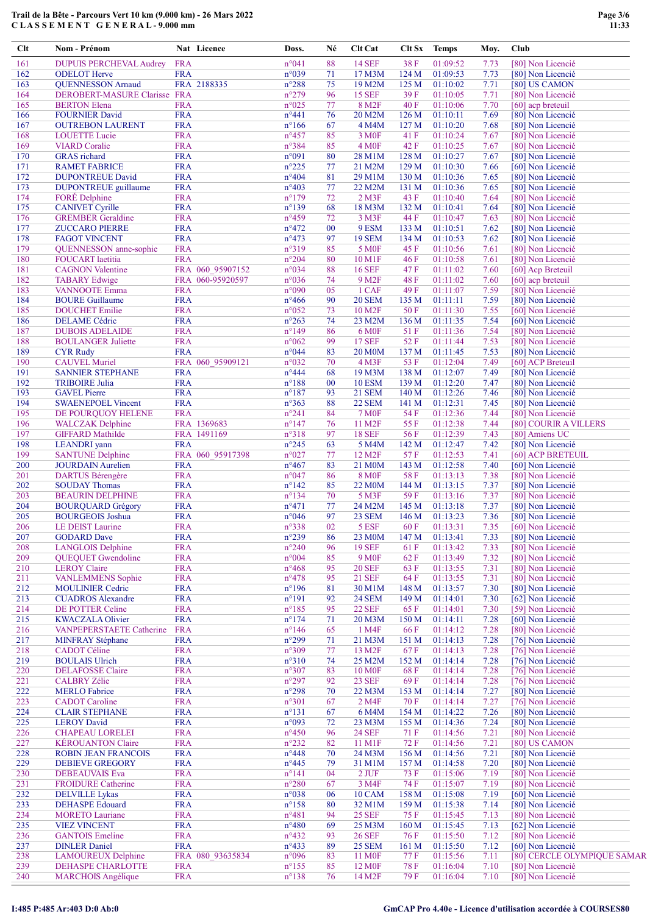| Clt        | Nom - Prénom                                       |                          | Nat Licence      | Doss.                            | Né       | Clt Cat                             | Clt Sx        | <b>Temps</b>         | Moy.         | Club |                                        |
|------------|----------------------------------------------------|--------------------------|------------------|----------------------------------|----------|-------------------------------------|---------------|----------------------|--------------|------|----------------------------------------|
| 161        | <b>DUPUIS PERCHEVAL Audrey</b>                     | <b>FRA</b>               |                  | n°041                            | 88       | <b>14 SEF</b>                       | 38F           | 01:09:52             | 7.73         |      | [80] Non Licencié                      |
| 162        | <b>ODELOT</b> Herve                                | <b>FRA</b>               |                  | n°039                            | 71       | 17 M3M                              | 124 M         | 01:09:53             | 7.73         |      | [80] Non Licencié                      |
| 163        | <b>QUENNESSON Arnaud</b>                           |                          | FRA 2188335      | $n^{\circ}288$                   | 75       | 19 M2M                              | 125 M         | 01:10:02             | 7.71         |      | [80] US CAMON                          |
| 164        | DEROBERT-MASURE Clarisse FRA                       |                          |                  | $n^{\circ}279$                   | 96       | <b>15 SEF</b>                       | 39F           | 01:10:05             | 7.71         |      | [80] Non Licencié                      |
| 165        | <b>BERTON</b> Elena                                | <b>FRA</b>               |                  | $n^{\circ}025$                   | 77       | 8 M <sub>2F</sub>                   | 40 F          | 01:10:06             | 7.70         |      | [60] acp breteuil                      |
| 166        | <b>FOURNIER David</b>                              | <b>FRA</b>               |                  | $n^{\circ}441$                   | 76       | 20 M2M                              | 126 M         | 01:10:11             | 7.69         |      | [80] Non Licencié                      |
| 167        | <b>OUTREBON LAURENT</b>                            | <b>FRA</b>               |                  | $n^{\circ}166$                   | 67       | 4 M4M                               | 127 M         | 01:10:20             | 7.68         |      | [80] Non Licencié                      |
| 168        | <b>LOUETTE</b> Lucie                               | <b>FRA</b>               |                  | $n^{\circ}457$                   | 85       | 3 M <sub>OF</sub>                   | 41 F          | 01:10:24             | 7.67         |      | [80] Non Licencié                      |
| 169        | <b>VIARD</b> Coralie                               | <b>FRA</b>               |                  | n°384                            | 85       | 4 M <sub>OF</sub>                   | 42 F          | 01:10:25             | 7.67         |      | [80] Non Licencié                      |
| 170        | <b>GRAS</b> richard                                | <b>FRA</b>               |                  | n°091                            | 80       | 28 M1M                              | 128 M         | 01:10:27             | 7.67         |      | [80] Non Licencié                      |
| 171        | <b>RAMET FABRICE</b>                               | <b>FRA</b><br><b>FRA</b> |                  | $n^{\circ}225$                   | 77<br>81 | 21 M2M<br>29 M1M                    | 129 M         | 01:10:30             | 7.66         |      | [60] Non Licencié                      |
| 172<br>173 | <b>DUPONTREUE David</b>                            | <b>FRA</b>               |                  | $n^{\circ}404$<br>n°403          | 77       |                                     | 130 M         | 01:10:36<br>01:10:36 | 7.65<br>7.65 |      | [80] Non Licencié<br>[80] Non Licencié |
| 174        | DUPONTREUE guillaume<br><b>FORÉ</b> Delphine       | <b>FRA</b>               |                  | $n^{\circ}179$                   | 72       | 22 M2M<br>$2$ M $3F$                | 131 M<br>43 F | 01:10:40             | 7.64         |      | [80] Non Licencié                      |
| 175        | <b>CANIVET Cyrille</b>                             | <b>FRA</b>               |                  | $n^{\circ}139$                   | 68       | 18 M3M                              | 132 M         | 01:10:41             | 7.64         |      | [80] Non Licencié                      |
| 176        | <b>GREMBER</b> Geraldine                           | <b>FRA</b>               |                  | $n^{\circ}459$                   | 72       | 3 M3F                               | 44 F          | 01:10:47             | 7.63         |      | [80] Non Licencié                      |
| 177        | <b>ZUCCARO PIERRE</b>                              | <b>FRA</b>               |                  | $n^{\circ}472$                   | 00       | 9 ESM                               | 133 M         | 01:10:51             | 7.62         |      | [80] Non Licencié                      |
| 178        | <b>FAGOT VINCENT</b>                               | <b>FRA</b>               |                  | $n^{\circ}473$                   | 97       | <b>19 SEM</b>                       | 134 M         | 01:10:53             | 7.62         |      | [80] Non Licencié                      |
| 179        | QUENNESSON anne-sophie                             | <b>FRA</b>               |                  | n°319                            | 85       | <b>5 MOF</b>                        | 45 F          | 01:10:56             | 7.61         |      | [80] Non Licencié                      |
| 180        | FOUCART laetitia                                   | <b>FRA</b>               |                  | $n^{\circ}204$                   | 80       | 10 M1F                              | 46 F          | 01:10:58             | 7.61         |      | [80] Non Licencié                      |
| 181        | <b>CAGNON Valentine</b>                            |                          | FRA 060 95907152 | n°034                            | 88       | <b>16 SEF</b>                       | 47 F          | 01:11:02             | 7.60         |      | [60] Acp Breteuil                      |
| 182        | <b>TABARY Edwige</b>                               |                          | FRA 060-95920597 | n°036                            | 74       | 9 M <sub>2F</sub>                   | 48F           | 01:11:02             | 7.60         |      | [60] acp breteuil                      |
| 183        | <b>VANNOOTE Emma</b>                               | <b>FRA</b>               |                  | n°090                            | 05       | 1 CAF                               | 49 F          | 01:11:07             | 7.59         |      | [80] Non Licencié                      |
| 184        | <b>BOURE Guillaume</b>                             | <b>FRA</b>               |                  | $n^{\circ}466$                   | 90       | <b>20 SEM</b>                       | 135 M         | 01:11:11             | 7.59         |      | [80] Non Licencié                      |
| 185        | <b>DOUCHET</b> Emilie                              | <b>FRA</b>               |                  | n°052                            | 73       | 10 M <sub>2</sub> F                 | 50F           | 01:11:30             | 7.55         |      | [60] Non Licencié                      |
| 186        | <b>DELAME</b> Cédric                               | <b>FRA</b>               |                  | $n^{\circ}263$                   | 74       | 23 M2M                              | 136 M         | 01:11:35             | 7.54         |      | [60] Non Licencié                      |
| 187        | <b>DUBOIS ADELAIDE</b>                             | <b>FRA</b>               |                  | $n^{\circ}149$                   | 86       | 6 M <sub>OF</sub>                   | 51F           | 01:11:36             | 7.54         |      | [80] Non Licencié                      |
| 188        | <b>BOULANGER Juliette</b>                          | <b>FRA</b>               |                  | $n^{\circ}062$                   | 99       | <b>17 SEF</b>                       | 52F           | 01:11:44             | 7.53         |      | [80] Non Licencié                      |
| 189        | <b>CYR Rudy</b>                                    | <b>FRA</b>               |                  | n°044                            | 83       | <b>20 M0M</b>                       | 137 M         | 01:11:45             | 7.53         |      | [80] Non Licencié                      |
| 190        | <b>CAUVEL Muriel</b>                               |                          | FRA 060 95909121 | n°032                            | 70       | 4 M3F                               | 53 F          | 01:12:04             | 7.49         |      | [60] ACP Breteuil                      |
| 191        | <b>SANNIER STEPHANE</b>                            | <b>FRA</b>               |                  | $n^{\circ}444$                   | 68       | 19 M3M                              | 138 M         | 01:12:07             | 7.49         |      | [80] Non Licencié                      |
| 192        | <b>TRIBOIRE Julia</b>                              | <b>FRA</b>               |                  | $n^{\circ}188$                   | 00       | <b>10 ESM</b>                       | 139 M         | 01:12:20             | 7.47         |      | [80] Non Licencié                      |
| 193        | <b>GAVEL Pierre</b>                                | <b>FRA</b>               |                  | $n^{\circ}187$                   | 93       | <b>21 SEM</b>                       | 140 M         | 01:12:26             | 7.46         |      | [80] Non Licencié                      |
| 194        | <b>SWAENEPOEL Vincent</b>                          | <b>FRA</b>               |                  | $n^{\circ}363$                   | 88       | <b>22 SEM</b>                       | 141 M         | 01:12:31             | 7.45         |      | [80] Non Licencié                      |
| 195        | DE POURQUOY HELENE                                 | <b>FRA</b>               |                  | $n^{\circ}241$                   | 84       | <b>7 M0F</b>                        | 54 F          | 01:12:36             | 7.44         |      | [80] Non Licencié                      |
| 196        | <b>WALCZAK</b> Delphine                            |                          | FRA 1369683      | $n^{\circ}147$                   | 76       | 11 M2F                              | 55F           | 01:12:38             | 7.44         |      | [80] COURIR A VILLERS                  |
| 197        | <b>GIFFARD</b> Mathilde                            |                          | FRA 1491169      | n°318                            | 97       | <b>18 SEF</b>                       | 56 F          | 01:12:39             | 7.43         |      | [80] Amiens UC                         |
| 198        | <b>LEANDRI</b> yann                                | <b>FRA</b>               |                  | $n^{\circ}245$                   | 63       | 5 M4M                               | 142 M         | 01:12:47             | 7.42         |      | [80] Non Licencié                      |
| 199        | <b>SANTUNE Delphine</b>                            |                          | FRA 060 95917398 | n°027                            | 77       | 12 M <sub>2</sub> F                 | 57 F          | 01:12:53             | 7.41         |      | [60] ACP BRETEUIL                      |
| 200        | <b>JOURDAIN</b> Aurelien                           | <b>FRA</b>               |                  | $n^{\circ}467$                   | 83       | 21 M0M                              | 143 M         | 01:12:58             | 7.40         |      | [60] Non Licencié                      |
| 201<br>202 | <b>DARTUS Bérengère</b>                            | <b>FRA</b><br><b>FRA</b> |                  | n°047<br>$n^{\circ}142$          | 86<br>85 | <b>8 MOF</b><br>22 M <sub>0</sub> M | 58 F<br>144 M | 01:13:13<br>01:13:15 | 7.38<br>7.37 |      | [80] Non Licencié<br>[80] Non Licencié |
| 203        | <b>SOUDAY Thomas</b><br><b>BEAURIN DELPHINE</b>    | <b>FRA</b>               |                  | $n^{\circ}134$                   | 70       | 5 M3F                               | 59F           | 01:13:16             | 7.37         |      | [80] Non Licencié                      |
| 204        | <b>BOURQUARD Grégory</b>                           | <b>FRA</b>               |                  | $n^{\circ}471$                   | 77       | 24 M2M                              | 145 M         | 01:13:18             | 7.37         |      | [80] Non Licencié                      |
| 205        | <b>BOURGEOIS Joshua</b>                            | <b>FRA</b>               |                  | n°046                            | 97       | 23 SEM                              | 146 M         | 01:13:23             | 7.36         |      | [80] Non Licencié                      |
| 206        | LE DEIST Laurine                                   | <b>FRA</b>               |                  | n°338                            | 02       | 5 ESF                               | 60 F          | 01:13:31             | 7.35         |      | [60] Non Licencié                      |
| 207        | <b>GODARD</b> Dave                                 | <b>FRA</b>               |                  | $n^{\circ}239$                   | 86       | 23 M0M                              | 147 M         | 01:13:41             | 7.33         |      | [80] Non Licencié                      |
| 208        | <b>LANGLOIS Delphine</b>                           | <b>FRA</b>               |                  | $n^{\circ}240$                   | 96       | <b>19 SEF</b>                       | 61 F          | 01:13:42             | 7.33         |      | [80] Non Licencié                      |
| 209        | <b>QUEQUET</b> Gwendoline                          | <b>FRA</b>               |                  | n°004                            | 85       | <b>9 M0F</b>                        | 62F           | 01:13:49             | 7.32         |      | [80] Non Licencié                      |
| 210        | <b>LEROY</b> Claire                                | <b>FRA</b>               |                  | $n^{\circ}468$                   | 95       | <b>20 SEF</b>                       | 63F           | 01:13:55             | 7.31         |      | [80] Non Licencié                      |
| 211        | <b>VANLEMMENS</b> Sophie                           | <b>FRA</b>               |                  | $n^{\circ}478$                   | 95       | <b>21 SEF</b>                       | 64 F          | 01:13:55             | 7.31         |      | [80] Non Licencié                      |
| 212        | <b>MOULINIER Cedric</b>                            | <b>FRA</b>               |                  | $n^{\circ}196$                   | 81       | 30 M1M                              | 148 M         | 01:13:57             | 7.30         |      | [80] Non Licencié                      |
| 213        | <b>CUADROS</b> Alexandre                           | <b>FRA</b>               |                  | $n^{\circ}191$                   | 92       | <b>24 SEM</b>                       | 149 M         | 01:14:01             | 7.30         |      | [62] Non Licencié                      |
| 214        | DE POTTER Celine                                   | <b>FRA</b>               |                  | $n^{\circ}185$                   | 95       | <b>22 SEF</b>                       | 65 F          | 01:14:01             | 7.30         |      | [59] Non Licencié                      |
| 215        | <b>KWACZALA Olivier</b>                            | <b>FRA</b>               |                  | $n^{\circ}174$                   | 71       | 20 M3M                              | 150 M         | 01:14:11             | 7.28         |      | [60] Non Licencié                      |
| 216        | VANPEPERSTAETE Catherine                           | <b>FRA</b>               |                  | $n^{\circ}146$                   | 65       | 1 M4F                               | 66 F          | 01:14:12             | 7.28         |      | [80] Non Licencié                      |
| 217        | <b>MINFRAY Stéphane</b>                            | <b>FRA</b>               |                  | $n^{\circ}299$                   | 71       | 21 M3M                              | 151 M         | 01:14:13             | 7.28         |      | [76] Non Licencié                      |
| 218        | <b>CADOT</b> Céline                                | <b>FRA</b>               |                  | n°309                            | 77       | 13 M <sub>2</sub> F                 | 67 F          | 01:14:13             | 7.28         |      | [76] Non Licencié                      |
| 219        | <b>BOULAIS Ulrich</b>                              | <b>FRA</b>               |                  | $n^{\circ}310$                   | 74       | 25 M2M                              | 152 M         | 01:14:14             | 7.28         |      | [76] Non Licencié                      |
| 220        | <b>DELAFOSSE</b> Claire                            | <b>FRA</b>               |                  | $n^{\circ}307$                   | 83       | <b>10 MOF</b>                       | 68 F          | 01:14:14             | 7.28         |      | [76] Non Licencié                      |
| 221        | <b>CALBRY Zélie</b>                                | <b>FRA</b>               |                  | $n^{\circ}297$                   | 92       | <b>23 SEF</b>                       | 69F           | 01:14:14             | 7.28         |      | [76] Non Licencié                      |
| 222        | <b>MERLO Fabrice</b>                               | <b>FRA</b>               |                  | $n^{\circ}298$                   | 70       | 22 M3M                              | 153 M         | 01:14:14             | 7.27         |      | [80] Non Licencié                      |
| 223        | <b>CADOT</b> Caroline                              | <b>FRA</b>               |                  | $n^{\circ}301$                   | 67       | 2 M4F                               | <b>70F</b>    | 01:14:14             | 7.27         |      | [76] Non Licencié                      |
| 224        | <b>CLAIR STEPHANE</b>                              | <b>FRA</b>               |                  | $n^{\circ}131$                   | 67       | 6 M4M                               | 154 M         | 01:14:22             | 7.26         |      | [80] Non Licencié                      |
| 225        | <b>LEROY David</b>                                 | <b>FRA</b>               |                  | n°093                            | 72       | 23 M3M                              | 155 M         | 01:14:36             | 7.24         |      | [80] Non Licencié                      |
| 226        | <b>CHAPEAU LORELEI</b>                             | <b>FRA</b>               |                  | $n^{\circ}450$                   | 96       | <b>24 SEF</b>                       | 71 F          | 01:14:56             | 7.21         |      | [80] Non Licencié                      |
| 227        | <b>KÉROUANTON Claire</b>                           | <b>FRA</b>               |                  | $n^{\circ}232$                   | 82       | 11 M1F                              | 72 F          | 01:14:56             | 7.21         |      | [80] US CAMON                          |
| 228        | <b>ROBIN JEAN FRANCOIS</b>                         | <b>FRA</b>               |                  | $n^{\circ}448$                   | 70       | 24 M3M                              | 156 M         | 01:14:56             | 7.21         |      | [80] Non Licencié                      |
| 229        | <b>DEBIEVE GREGORY</b>                             | <b>FRA</b>               |                  | $n^{\circ}445$                   | 79       | 31 M1M                              | 157 M         | 01:14:58             | 7.20         |      | [80] Non Licencié                      |
| 230        | <b>DEBEAUVAIS Eva</b><br><b>FROIDURE Catherine</b> | <b>FRA</b><br><b>FRA</b> |                  | $n^{\circ}141$<br>$n^{\circ}280$ | 04<br>67 | $2$ JUF<br>3 M4F                    | 73 F<br>74 F  | 01:15:06             | 7.19<br>7.19 |      | [80] Non Licencié                      |
| 231<br>232 | <b>DELVILLE Lykas</b>                              | <b>FRA</b>               |                  | n°038                            | 06       | 10 CAM                              | 158 M         | 01:15:07<br>01:15:08 | 7.19         |      | [80] Non Licencié<br>[60] Non Licencié |
| 233        | <b>DEHASPE Edouard</b>                             | <b>FRA</b>               |                  | $n^{\circ}158$                   | 80       | 32 M1M                              | 159 M         | 01:15:38             | 7.14         |      | [80] Non Licencié                      |
| 234        | <b>MORETO</b> Lauriane                             | <b>FRA</b>               |                  | $n^{\circ}481$                   | 94       | <b>25 SEF</b>                       | 75 F          | 01:15:45             | 7.13         |      | [80] Non Licencié                      |
| 235        | <b>VIEZ VINCENT</b>                                | <b>FRA</b>               |                  | $n^{\circ}480$                   | 69       | 25 M3M                              | 160 M         | 01:15:45             | 7.13         |      | [62] Non Licencié                      |
| 236        | <b>GANTOIS</b> Emeline                             | <b>FRA</b>               |                  | $n^{\circ}432$                   | 93       | <b>26 SEF</b>                       | 76 F          | 01:15:50             | 7.12         |      | [80] Non Licencié                      |
| 237        | <b>DINLER Daniel</b>                               | <b>FRA</b>               |                  | $n^{\circ}433$                   | 89       | <b>25 SEM</b>                       | 161 M         | 01:15:50             | 7.12         |      | [60] Non Licencié                      |
| 238        | <b>LAMOUREUX Delphine</b>                          |                          | FRA 080 93635834 | n°096                            | 83       | <b>11 MOF</b>                       | 77 F          | 01:15:56             | 7.11         |      | [80] CERCLE OLYMPIQUE SAMAR            |
| 239        | <b>DEHASPE CHARLOTTE</b>                           | <b>FRA</b>               |                  | $n^{\circ}155$                   | 85       | 12 M <sub>OF</sub>                  | <b>78 F</b>   | 01:16:04             | 7.10         |      | [80] Non Licencié                      |
| 240        | <b>MARCHOIS Angélique</b>                          | <b>FRA</b>               |                  | $n^{\circ}138$                   | 76       | 14 M <sub>2</sub> F                 | 79 F          | 01:16:04             | 7.10         |      | [80] Non Licencié                      |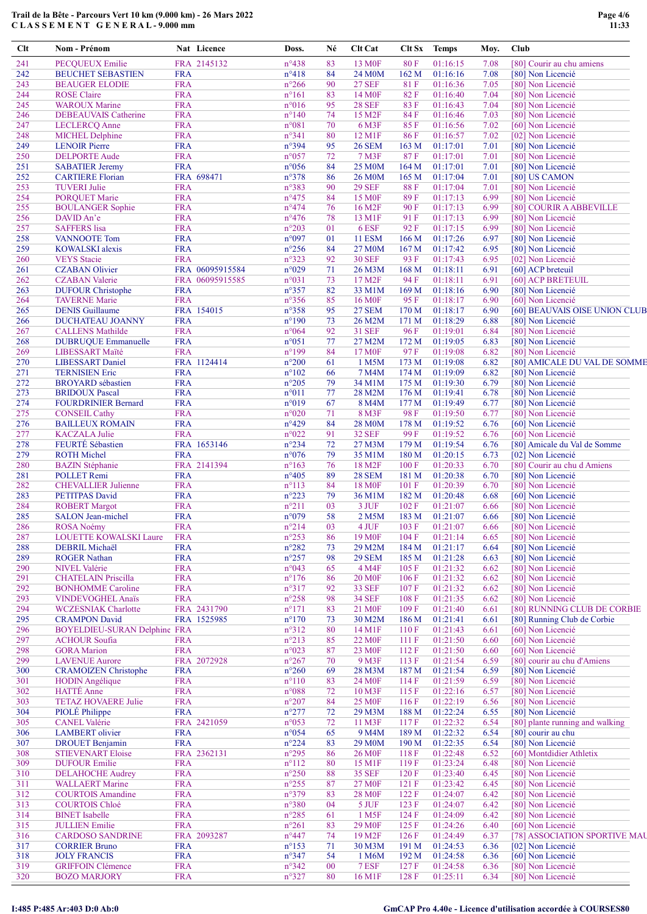| Clt | Nom - Prénom                  |            | Nat Licence     | Doss.          | Né | Clt Cat             | Clt Sx Temps     |          | Moy. | Club                            |
|-----|-------------------------------|------------|-----------------|----------------|----|---------------------|------------------|----------|------|---------------------------------|
| 241 | PECQUEUX Emilie               |            | FRA 2145132     | $n^{\circ}438$ | 83 | 13 M <sub>OF</sub>  | 80F              | 01:16:15 | 7.08 | [80] Courir au chu amiens       |
| 242 | <b>BEUCHET SEBASTIEN</b>      | <b>FRA</b> |                 | $n^{\circ}418$ | 84 | 24 M <sub>0</sub> M | 162 M            | 01:16:16 | 7.08 | [80] Non Licencié               |
| 243 | <b>BEAUGER ELODIE</b>         | <b>FRA</b> |                 | $n^{\circ}266$ | 90 | <b>27 SEF</b>       | 81 F             | 01:16:36 | 7.05 | [80] Non Licencié               |
| 244 | <b>ROSE</b> Claire            | <b>FRA</b> |                 | $n^{\circ}161$ | 83 | 14 M <sub>OF</sub>  | 82F              | 01:16:40 | 7.04 | [80] Non Licencié               |
| 245 | <b>WAROUX Marine</b>          | <b>FRA</b> |                 | n°016          | 95 | <b>28 SEF</b>       | 83 F             | 01:16:43 | 7.04 | [80] Non Licencié               |
| 246 | <b>DEBEAUVAIS Catherine</b>   | <b>FRA</b> |                 | $n^{\circ}140$ | 74 | 15 M2F              | 84 F             | 01:16:46 | 7.03 | [80] Non Licencié               |
| 247 | <b>LECLERCQ Anne</b>          | <b>FRA</b> |                 | $n^{\circ}081$ | 70 | 6 M3F               | 85F              | 01:16:56 | 7.02 | [60] Non Licencié               |
| 248 | <b>MICHEL Delphine</b>        | <b>FRA</b> |                 | $n^{\circ}341$ | 80 | 12 M1F              | 86 F             | 01:16:57 | 7.02 | [02] Non Licencié               |
| 249 | <b>LENOIR Pierre</b>          | <b>FRA</b> |                 | n°394          | 95 | <b>26 SEM</b>       | 163 M            | 01:17:01 | 7.01 | [80] Non Licencié               |
| 250 | <b>DELPORTE Aude</b>          | <b>FRA</b> |                 | n°057          | 72 | 7 M3F               | 87 F             | 01:17:01 | 7.01 | [80] Non Licencié               |
| 251 | <b>SABATIER Jeremy</b>        | <b>FRA</b> |                 | n°056          | 84 | 25 M <sub>0</sub> M | 164 M            | 01:17:01 | 7.01 | [80] Non Licencié               |
| 252 | <b>CARTIERE Florian</b>       |            | FRA 698471      | $n^{\circ}378$ | 86 | 26 M <sub>0</sub> M | 165 M            | 01:17:04 | 7.01 | [80] US CAMON                   |
| 253 | <b>TUVERI</b> Julie           | <b>FRA</b> |                 | n°383          | 90 | <b>29 SEF</b>       | 88F              | 01:17:04 | 7.01 | [80] Non Licencié               |
| 254 | <b>PORQUET Marie</b>          | <b>FRA</b> |                 | $n^{\circ}475$ | 84 | 15 M <sub>OF</sub>  | 89F              | 01:17:13 | 6.99 | [80] Non Licencié               |
| 255 | <b>BOULANGER Sophie</b>       | <b>FRA</b> |                 | $n^{\circ}474$ | 76 | 16 M <sub>2F</sub>  | 90 F             | 01:17:13 | 6.99 | [80] COURIR A ABBEVILLE         |
| 256 | DAVID An'e                    | <b>FRA</b> |                 | $n^{\circ}476$ | 78 | 13 M1F              | 91 F             | 01:17:13 | 6.99 | [80] Non Licencié               |
| 257 | <b>SAFFERS</b> lisa           | <b>FRA</b> |                 | $n^{\circ}203$ | 01 | 6 ESF               | 92 F             | 01:17:15 | 6.99 | [80] Non Licencié               |
| 258 | VANNOOTE Tom                  | <b>FRA</b> |                 | n°097          | 01 | <b>11 ESM</b>       | 166 M            | 01:17:26 | 6.97 | [80] Non Licencié               |
| 259 | KOWALSKI alexis               | <b>FRA</b> |                 | $n^{\circ}256$ | 84 | 27 M <sub>0</sub> M | 167 M            | 01:17:42 | 6.95 | [80] Non Licencié               |
| 260 | <b>VEYS</b> Stacie            | <b>FRA</b> |                 | $n^{\circ}323$ | 92 | <b>30 SEF</b>       | 93 F             | 01:17:43 | 6.95 | [02] Non Licencié               |
| 261 | <b>CZABAN</b> Olivier         |            | FRA 06095915584 | n°029          | 71 | 26 M3M              | 168 M            | 01:18:11 | 6.91 | [60] ACP breteuil               |
| 262 | <b>CZABAN</b> Valerie         |            | FRA 06095915585 | n°031          | 73 | 17 M <sub>2</sub> F | 94 F             | 01:18:11 | 6.91 | [60] ACP BRETEUIL               |
| 263 | <b>DUFOUR Christophe</b>      | <b>FRA</b> |                 | $n^{\circ}357$ | 82 | 33 M1M              | 169 M            | 01:18:16 | 6.90 | [80] Non Licencié               |
| 264 | <b>TAVERNE Marie</b>          | <b>FRA</b> |                 | $n^{\circ}356$ | 85 | <b>16 MOF</b>       | 95 F             | 01:18:17 | 6.90 | [60] Non Licencié               |
| 265 | <b>DENIS</b> Guillaume        |            | FRA 154015      | $n^{\circ}358$ | 95 | <b>27 SEM</b>       | 170 M            | 01:18:17 | 6.90 | [60] BEAUVAIS OISE UNION CLUB   |
| 266 | DUCHATEAU JOANNY              | <b>FRA</b> |                 | $n^{\circ}190$ | 73 | 26 M2M              | 171 M            | 01:18:29 | 6.88 | [80] Non Licencié               |
| 267 | <b>CALLENS Mathilde</b>       | <b>FRA</b> |                 | $n^{\circ}064$ | 92 | <b>31 SEF</b>       | 96 F             | 01:19:01 | 6.84 | [80] Non Licencié               |
| 268 | <b>DUBRUQUE Emmanuelle</b>    | <b>FRA</b> |                 | n°051          | 77 | 27 M2M              | 172 M            | 01:19:05 | 6.83 | [80] Non Licencié               |
| 269 | <b>LIBESSART Maïté</b>        | <b>FRA</b> |                 | $n^{\circ}199$ | 84 | 17 M <sub>OF</sub>  | 97 F             | 01:19:08 | 6.82 | [80] Non Licencié               |
| 270 | <b>LIBESSART</b> Daniel       |            | FRA 1124414     | $n^{\circ}200$ | 61 | 1 M5M               | 173 M            | 01:19:08 | 6.82 | [80] AMICALE DU VAL DE SOMME    |
| 271 | <b>TERNISIEN Eric</b>         | <b>FRA</b> |                 | $n^{\circ}102$ | 66 | 7 M4M               | 174 M            | 01:19:09 | 6.82 | [80] Non Licencié               |
| 272 | <b>BROYARD</b> sébastien      | <b>FRA</b> |                 | $n^{\circ}205$ | 79 | 34 M1M              | 175 M            | 01:19:30 | 6.79 | [80] Non Licencié               |
| 273 | <b>BRIDOUX Pascal</b>         | <b>FRA</b> |                 | $n^{\circ}011$ | 77 | 28 M2M              | 176M             | 01:19:41 | 6.78 | [80] Non Licencié               |
| 274 | <b>FOURDRINIER Bernard</b>    | <b>FRA</b> |                 | n°019          | 67 | 8 M4M               | 177 M            | 01:19:49 | 6.77 | [80] Non Licencié               |
| 275 | <b>CONSEIL Cathy</b>          | <b>FRA</b> |                 | n°020          | 71 | 8 M3F               | 98 F             | 01:19:50 | 6.77 | [80] Non Licencié               |
| 276 | <b>BAILLEUX ROMAIN</b>        | <b>FRA</b> |                 | $n^{\circ}429$ | 84 | <b>28 M0M</b>       | 178 M            | 01:19:52 | 6.76 | [60] Non Licencié               |
| 277 | <b>KACZALA Julie</b>          | <b>FRA</b> |                 | n°022          | 91 | <b>32 SEF</b>       | 99 F             | 01:19:52 | 6.76 | [60] Non Licencié               |
| 278 | FEURTÉ Sébastien              |            | FRA 1653146     | $n^{\circ}234$ | 72 | 27 M3M              | 179 M            | 01:19:54 | 6.76 | [80] Amicale du Val de Somme    |
| 279 | <b>ROTH Michel</b>            | <b>FRA</b> |                 | n°076          | 79 | 35 M1M              | 180 <sub>M</sub> | 01:20:15 | 6.73 | [02] Non Licencié               |
| 280 | <b>BAZIN</b> Stéphanie        |            | FRA 2141394     | $n^{\circ}163$ | 76 | 18 M <sub>2F</sub>  | 100F             | 01:20:33 | 6.70 | [80] Courir au chu d Amiens     |
| 281 | POLLET Remi                   | <b>FRA</b> |                 | $n^{\circ}405$ | 89 | <b>28 SEM</b>       | 181 M            | 01:20:38 | 6.70 | [80] Non Licencié               |
| 282 | <b>CHEVALLIER Julienne</b>    | <b>FRA</b> |                 | $n^{\circ}113$ | 84 | <b>18 MOF</b>       | 101 F            | 01:20:39 | 6.70 | [80] Non Licencié               |
| 283 | <b>PETITPAS David</b>         | <b>FRA</b> |                 | $n^{\circ}223$ | 79 | 36 M1M              | 182 M            | 01:20:48 | 6.68 | [60] Non Licencié               |
| 284 | <b>ROBERT Margot</b>          | <b>FRA</b> |                 | $n^{\circ}211$ | 03 | 3 JUF               | 102F             | 01:21:07 | 6.66 | [80] Non Licencié               |
| 285 | <b>SALON Jean-michel</b>      | <b>FRA</b> |                 | n°079          | 58 | 2 M <sub>5</sub> M  | 183 M            | 01:21:07 | 6.66 | [80] Non Licencié               |
| 286 | ROSA Noémy                    | <b>FRA</b> |                 | $n^{\circ}214$ | 03 | 4 JUF               | 103 F            | 01:21:07 | 6.66 | [80] Non Licencié               |
| 287 | <b>LOUETTE KOWALSKI Laure</b> | <b>FRA</b> |                 | $n^{\circ}253$ | 86 | 19 M <sub>OF</sub>  | 104 F            | 01:21:14 | 6.65 | [80] Non Licencié               |
| 288 | <b>DEBRIL Michaël</b>         | <b>FRA</b> |                 | $n^{\circ}282$ | 73 | 29 M2M              | 184 M            | 01:21:17 | 6.64 | [80] Non Licencié               |
| 289 | <b>ROGER Nathan</b>           | <b>FRA</b> |                 | $n^{\circ}257$ | 98 | <b>29 SEM</b>       | 185 M            | 01:21:28 | 6.63 | [80] Non Licencié               |
| 290 | NIVEL Valérie                 | <b>FRA</b> |                 | n°043          | 65 | 4 M4F               | 105 F            | 01:21:32 | 6.62 | [80] Non Licencié               |
| 291 | <b>CHATELAIN Priscilla</b>    | <b>FRA</b> |                 | $n^{\circ}176$ | 86 | <b>20 MOF</b>       | 106 F            | 01:21:32 | 6.62 | [80] Non Licencié               |
| 292 | <b>BONHOMME</b> Caroline      | <b>FRA</b> |                 | $n^{\circ}317$ | 92 | <b>33 SEF</b>       | 107 F            | 01:21:32 | 6.62 | [80] Non Licencié               |
| 293 | VINDEVOGHEL Anaïs             | <b>FRA</b> |                 | $n^{\circ}258$ | 98 | <b>34 SEF</b>       | 108 F            | 01:21:35 | 6.62 | [80] Non Licencié               |
| 294 | <b>WCZESNIAK Charlotte</b>    |            | FRA 2431790     | $n^{\circ}171$ | 83 | 21 M <sub>OF</sub>  | 109F             | 01:21:40 | 6.61 | [80] RUNNING CLUB DE CORBIE     |
| 295 | <b>CRAMPON David</b>          |            | FRA 1525985     | $n^{\circ}170$ | 73 | 30 M2M              | 186 <sub>M</sub> | 01:21:41 | 6.61 | [80] Running Club de Corbie     |
| 296 | BOYELDIEU-SURAN Delphine FRA  |            |                 | $n^{\circ}312$ | 80 | 14 M1F              | 110F             | 01:21:43 | 6.61 | [60] Non Licencié               |
| 297 | <b>ACHOUR Soufia</b>          | <b>FRA</b> |                 | $n^{\circ}213$ | 85 | <b>22 MOF</b>       | 111F             | 01:21:50 | 6.60 | [60] Non Licencié               |
| 298 | <b>GORA</b> Marion            | <b>FRA</b> |                 | $n^{\circ}023$ | 87 | 23 M <sub>OF</sub>  | 112F             | 01:21:50 | 6.60 | [60] Non Licencié               |
| 299 | <b>LAVENUE Aurore</b>         |            | FRA 2072928     | $n^{\circ}267$ | 70 | 9 M3F               | 113 F            | 01:21:54 | 6.59 | [80] courir au chu d'Amiens     |
| 300 | <b>CRAMOIZEN</b> Christophe   | <b>FRA</b> |                 | $n^{\circ}260$ | 69 | 28 M3M              | 187 <sub>M</sub> | 01:21:54 | 6.59 | [80] Non Licencié               |
| 301 | <b>HODIN</b> Angélique        | <b>FRA</b> |                 | $n^{\circ}110$ | 83 | 24 M <sub>OF</sub>  | 114F             | 01:21:59 | 6.59 | [80] Non Licencié               |
| 302 | <b>HATTÉ</b> Anne             | <b>FRA</b> |                 | $n^{\circ}088$ | 72 | 10 M3F              | 115 F            | 01:22:16 | 6.57 | [80] Non Licencié               |
| 303 | <b>TETAZ HOVAERE Julie</b>    | <b>FRA</b> |                 | $n^{\circ}207$ | 84 | 25 M <sub>OF</sub>  | 116F             | 01:22:19 | 6.56 | [80] Non Licencié               |
| 304 | <b>PIOLÉ Philippe</b>         | <b>FRA</b> |                 | $n^{\circ}277$ | 72 | 29 M3M              | 188 M            | 01:22:24 | 6.55 | [80] Non Licencié               |
| 305 | <b>CANEL Valérie</b>          |            | FRA 2421059     | $n^{\circ}053$ | 72 | 11 M3F              | 117F             | 01:22:32 | 6.54 | [80] plante running and walking |
| 306 | <b>LAMBERT</b> olivier        | <b>FRA</b> |                 | n°054          | 65 | 9 M4M               | 189 M            | 01:22:32 | 6.54 | [80] courir au chu              |
| 307 | <b>DROUET Benjamin</b>        | <b>FRA</b> |                 | $n^{\circ}224$ | 83 | 29 M <sub>0</sub> M | 190 M            | 01:22:35 | 6.54 | [80] Non Licencié               |
| 308 | <b>STIEVENART Eloise</b>      |            | FRA 2362131     | $n^{\circ}295$ | 86 | <b>26 M0F</b>       | 118 F            | 01:22:48 | 6.52 | [60] Montdidier Athletix        |
| 309 | <b>DUFOUR Emilie</b>          | <b>FRA</b> |                 | $n^{\circ}112$ | 80 | 15 M1F              | 119F             | 01:23:24 | 6.48 | [80] Non Licencié               |
| 310 | <b>DELAHOCHE Audrey</b>       | <b>FRA</b> |                 | $n^{\circ}250$ | 88 | 35 SEF              | 120F             | 01:23:40 | 6.45 | [80] Non Licencié               |
| 311 | <b>WALLAERT</b> Marine        | <b>FRA</b> |                 | $n^{\circ}255$ | 87 | 27 M <sub>OF</sub>  | 121 F            | 01:23:42 | 6.45 | [80] Non Licencié               |
| 312 | <b>COURTOIS Amandine</b>      | <b>FRA</b> |                 | $n^{\circ}379$ | 83 | <b>28 M0F</b>       | 122F             | 01:24:07 | 6.42 | [80] Non Licencié               |
| 313 | <b>COURTOIS Chloé</b>         | <b>FRA</b> |                 | $n^{\circ}380$ | 04 | 5 JUF               | 123 F            | 01:24:07 | 6.42 | [80] Non Licencié               |
| 314 | <b>BINET</b> Isabelle         | <b>FRA</b> |                 | $n^{\circ}285$ | 61 | 1 M <sub>5F</sub>   | 124F             | 01:24:09 | 6.42 | [80] Non Licencié               |
| 315 | <b>JULLIEN Emilie</b>         | <b>FRA</b> |                 | $n^{\circ}261$ | 83 | 29 M <sub>OF</sub>  | 125 F            | 01:24:26 | 6.40 | [60] Non Licencié               |
| 316 | <b>CARDOSO SANDRINE</b>       |            | FRA 2093287     | $n^{\circ}447$ | 74 | 19 M <sub>2F</sub>  | 126 F            | 01:24:49 | 6.37 | [78] ASSOCIATION SPORTIVE MAU   |
| 317 | <b>CORRIER Bruno</b>          | <b>FRA</b> |                 | $n^{\circ}153$ | 71 | 30 M3M              | 191 M            | 01:24:53 | 6.36 | [02] Non Licencié               |
| 318 | <b>JOLY FRANCIS</b>           | <b>FRA</b> |                 | $n^{\circ}347$ | 54 | 1 M6M               | 192 M            | 01:24:58 | 6.36 | [60] Non Licencié               |
| 319 | <b>GRIFFOIN Clémence</b>      | <b>FRA</b> |                 | $n^{\circ}342$ | 00 | 7 ESF               | 127 F            | 01:24:58 | 6.36 | [80] Non Licencié               |
| 320 | <b>BOZO MARJORY</b>           | <b>FRA</b> |                 | $n^{\circ}327$ | 80 | 16 M1F              | 128 F            | 01:25:11 | 6.34 | [80] Non Licencié               |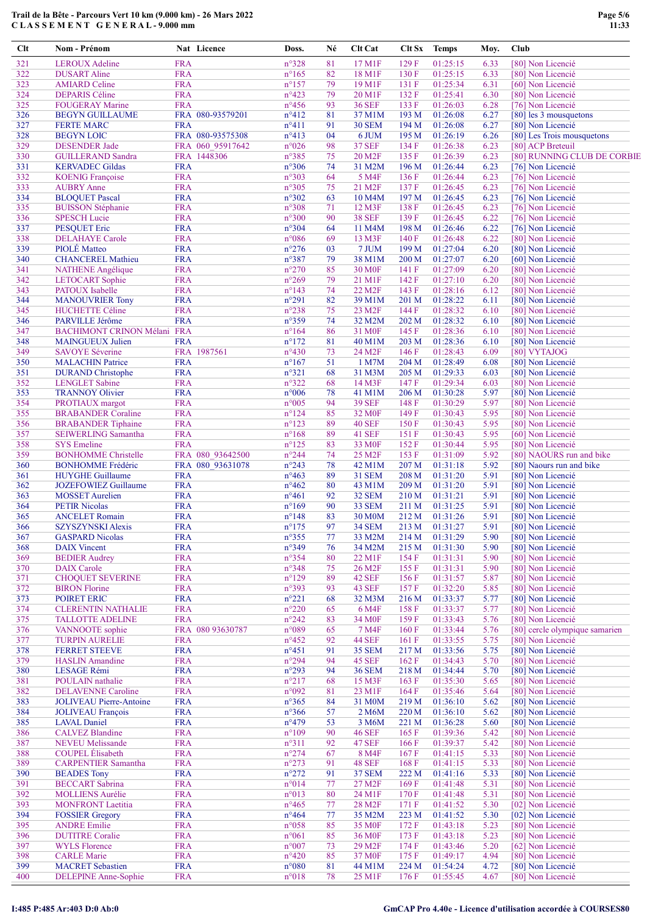| Clt        | Nom - Prénom                               |                          | Nat Licence      | Doss.                   | Né       | Clt Cat                     | Clt Sx           | <b>Temps</b>         | Moy.         | Club |                                                     |
|------------|--------------------------------------------|--------------------------|------------------|-------------------------|----------|-----------------------------|------------------|----------------------|--------------|------|-----------------------------------------------------|
| 321        | <b>LEROUX</b> Adeline                      | <b>FRA</b>               |                  | n°328                   | 81       | 17 M1F                      | 129F             | 01:25:15             | 6.33         |      | [80] Non Licencié                                   |
| 322        | <b>DUSART</b> Aline                        | <b>FRA</b>               |                  | $n^{\circ}165$          | 82       | 18 M1F                      | 130 F            | 01:25:15             | 6.33         |      | [80] Non Licencié                                   |
| 323        | <b>AMIARD</b> Celine                       | <b>FRA</b>               |                  | $n^{\circ}157$          | 79       | 19 M1F                      | 131 F            | 01:25:34             | 6.31         |      | [60] Non Licencié                                   |
| 324        | <b>DEPARIS Céline</b>                      | <b>FRA</b>               |                  | $n^{\circ}423$          | 79       | 20 M1F                      | 132 F            | 01:25:41             | 6.30         |      | [80] Non Licencié                                   |
| 325        | <b>FOUGERAY Marine</b>                     | <b>FRA</b>               |                  | $n^{\circ}456$          | 93       | <b>36 SEF</b>               | 133 F            | 01:26:03             | 6.28         |      | [76] Non Licencié                                   |
| 326        | <b>BEGYN GUILLAUME</b>                     |                          | FRA 080-93579201 | $n^{\circ}412$          | 81       | 37 M1M                      | 193 M            | 01:26:08             | 6.27         |      | [80] les 3 mousquetons                              |
| 327        | <b>FERTE MARC</b>                          | <b>FRA</b>               |                  | $n^{\circ}411$          | 91       | <b>30 SEM</b>               | 194 M            | 01:26:08             | 6.27         |      | [80] Non Licencié                                   |
| 328        | <b>BEGYN LOIC</b>                          |                          | FRA 080-93575308 | $n^{\circ}413$          | 04       | 6 JUM                       | 195 M            | 01:26:19             | 6.26         |      | [80] Les Trois mousquetons                          |
| 329        | <b>DESENDER</b> Jade                       |                          | FRA 060 95917642 | n°026                   | 98       | <b>37 SEF</b>               | 134 F            | 01:26:38             | 6.23         |      | [80] ACP Breteuil                                   |
| 330        | <b>GUILLERAND Sandra</b>                   |                          | FRA 1448306      | n°385                   | 75       | 20 M <sub>2F</sub>          | 135 F            | 01:26:39             | 6.23         |      | [80] RUNNING CLUB DE CORBIE                         |
| 331        | <b>KERVADEC Gildas</b>                     | <b>FRA</b>               |                  | $n^{\circ}306$          | 74       | 31 M2M                      | 196 M            | 01:26:44             | 6.23         |      | [76] Non Licencié                                   |
| 332        | <b>KOENIG Françoise</b>                    | <b>FRA</b>               |                  | n°303                   | 64       | 5 M4F                       | 136 F            | 01:26:44             | 6.23         |      | [76] Non Licencié                                   |
| 333        | <b>AUBRY</b> Anne                          | <b>FRA</b>               |                  | $n^{\circ}305$          | 75       | 21 M2F                      | 137 F            | 01:26:45             | 6.23         |      | [76] Non Licencié                                   |
| 334        | <b>BLOQUET Pascal</b>                      | <b>FRA</b>               |                  | n°302                   | 63       | 10 M <sub>4</sub> M         | 197 M            | 01:26:45             | 6.23         |      | [76] Non Licencié                                   |
| 335        | <b>BUISSON Stéphanie</b>                   | <b>FRA</b>               |                  | $n^{\circ}308$          | 71       | 12 M3F                      | 138 F            | 01:26:45             | 6.23         |      | [76] Non Licencié                                   |
| 336        | <b>SPESCH</b> Lucie                        | <b>FRA</b>               |                  | $n^{\circ}300$          | 90       | <b>38 SEF</b>               | 139 F            | 01:26:45             | 6.22         |      | [76] Non Licencié                                   |
| 337        | <b>PESQUET Eric</b>                        | <b>FRA</b>               |                  | $n^{\circ}304$          | 64       | 11 M4M                      | 198 M            | 01:26:46             | 6.22         |      | [76] Non Licencié                                   |
| 338        | <b>DELAHAYE</b> Carole                     | <b>FRA</b>               |                  | $n^{\circ}086$          | 69       | 13 M3F                      | 140 F            | 01:26:48             | 6.22         |      | [80] Non Licencié                                   |
| 339        | PIOLÉ Matteo                               | <b>FRA</b>               |                  | $n^{\circ}276$          | 03       | 7 JUM                       | 199 M            | 01:27:04             | 6.20         |      | [80] Non Licencié                                   |
| 340        | <b>CHANCEREL Mathieu</b>                   | <b>FRA</b>               |                  | n°387                   | 79       | 38 M1M                      | 200 <sub>M</sub> | 01:27:07             | 6.20         |      | [60] Non Licencié                                   |
| 341        | <b>NATHENE Angélique</b>                   | <b>FRA</b>               |                  | $n^{\circ}270$          | 85       | <b>30 M0F</b>               | 141 F            | 01:27:09             | 6.20         |      | [80] Non Licencié                                   |
| 342        | <b>LETOCART</b> Sophie                     | <b>FRA</b>               |                  | $n^{\circ}269$          | 79       | 21 M1F                      | 142 F            | 01:27:10             | 6.20         |      | [80] Non Licencié                                   |
| 343        | PATOUX Isabelle                            | <b>FRA</b>               |                  | $n^{\circ}143$          | 74       | 22 M2F                      | 143 F            | 01:28:16             | 6.12         |      | [80] Non Licencié                                   |
| 344        | <b>MANOUVRIER Tony</b>                     | <b>FRA</b>               |                  | $n^{\circ}291$          | 82       | 39 M1M                      | 201 M            | 01:28:22             | 6.11         |      | [80] Non Licencié                                   |
| 345        | <b>HUCHETTE Céline</b>                     | <b>FRA</b>               |                  | $n^{\circ}238$          | 75       | 23 M2F                      | 144 F            | 01:28:32             | 6.10         |      | [80] Non Licencié                                   |
| 346        | PARVILLE Jérôme                            | <b>FRA</b>               |                  | n°359                   | 74       | 32 M2M                      | 202 M            | 01:28:32             | 6.10         |      | [80] Non Licencié                                   |
| 347        | BACHIMONT CRINON Mélani FRA                |                          |                  | $n^{\circ}164$          | 86       | 31 M <sub>OF</sub>          | 145 F            | 01:28:36             | 6.10         |      | [80] Non Licencié                                   |
| 348        | <b>MAINGUEUX Julien</b>                    | <b>FRA</b>               |                  | $n^{\circ}172$          | 81       | 40 M1M                      | 203 M            | 01:28:36             | 6.10         |      | [80] Non Licencié                                   |
| 349        | <b>SAVOYE Séverine</b>                     |                          | FRA 1987561      | $n^{\circ}430$          | 73       | 24 M2F                      | 146 F            | 01:28:43             | 6.09         |      | [80] VYTAJOG                                        |
| 350        | <b>MALACHIN Patrice</b>                    | <b>FRA</b>               |                  | $n^{\circ}167$          | 51       | 1 M7M                       | 204 M            | 01:28:49             | 6.08         |      | [80] Non Licencié                                   |
| 351        | <b>DURAND</b> Christophe                   | <b>FRA</b>               |                  | $n^{\circ}321$          | 68       | 31 M3M                      | 205 M            | 01:29:33             | 6.03         |      | [80] Non Licencié                                   |
| 352        | <b>LENGLET</b> Sabine                      | <b>FRA</b>               |                  | $n^{\circ}322$          | 68       | 14 M3F                      | 147 F            | 01:29:34             | 6.03         |      | [80] Non Licencié                                   |
| 353        | <b>TRANNOY Olivier</b>                     | <b>FRA</b>               |                  | $n^{\circ}006$          | 78       | 41 M1M                      | 206 M            | 01:30:28             | 5.97         |      | [80] Non Licencié                                   |
| 354        | PROTIAUX margot                            | <b>FRA</b>               |                  | $n^{\circ}005$          | 94       | <b>39 SEF</b>               | 148 F            | 01:30:29             | 5.97         |      | [80] Non Licencié                                   |
| 355        | <b>BRABANDER Coraline</b>                  | <b>FRA</b>               |                  | $n^{\circ}124$          | 85       | 32 M <sub>OF</sub>          | 149 F            | 01:30:43             | 5.95         |      | [80] Non Licencié                                   |
| 356        | <b>BRABANDER</b> Tiphaine                  | <b>FRA</b>               |                  | $n^{\circ}123$          | 89       | <b>40 SEF</b>               | 150 F            | 01:30:43             | 5.95         |      | [80] Non Licencié                                   |
| 357        | <b>SEIWERLING Samantha</b>                 | <b>FRA</b>               |                  | $n^{\circ}168$          | 89       | 41 SEF                      | 151 F            | 01:30:43             | 5.95         |      | [60] Non Licencié                                   |
| 358        | <b>SYS</b> Emeline                         | <b>FRA</b>               |                  | $n^{\circ}125$          | 83       | 33 M <sub>OF</sub>          | 152 F            | 01:30:44             | 5.95         |      | [80] Non Licencié                                   |
| 359        | <b>BONHOMME</b> Christelle                 |                          | FRA 080 93642500 | $n^{\circ}244$          | 74       | 25 M <sub>2F</sub>          | 153 F            | 01:31:09             | 5.92         |      | [80] NAOURS run and bike                            |
| 360        | <b>BONHOMME</b> Frédéric                   |                          | FRA 080 93631078 | $n^{\circ}243$          | 78       | 42 M1M                      | 207 M            | 01:31:18             | 5.92         |      | [80] Naours run and bike                            |
| 361        | <b>HUYGHE Guillaume</b>                    | <b>FRA</b>               |                  | $n^{\circ}463$          | 89       | <b>31 SEM</b>               | 208 M            | 01:31:20             | 5.91         |      | [80] Non Licencié                                   |
| 362        | <b>JOZEFOWIEZ Guillaume</b>                | <b>FRA</b>               |                  | $n^{\circ}462$          | 80       | 43 M1M                      | 209 M            | 01:31:20             | 5.91         |      | [80] Non Licencié                                   |
| 363        | <b>MOSSET</b> Aurelien                     | <b>FRA</b>               |                  | $n^{\circ}461$          | 92       | 32 SEM                      | 210 M            | 01:31:21             | 5.91         |      | [80] Non Licencié                                   |
| 364        | <b>PETIR Nicolas</b>                       | <b>FRA</b>               |                  | $n^{\circ}169$          | 90       | 33 SEM                      | 211 M            | 01:31:25             | 5.91         |      | [80] Non Licencié                                   |
| 365        | <b>ANCELET</b> Romain                      | <b>FRA</b>               |                  | $n^{\circ}$ 148         | 83       | 30 M <sub>0</sub> M         | 212 M            | 01:31:26             | 5.91         |      | [80] Non Licencié                                   |
| 366        | <b>SZYSZYNSKI Alexis</b>                   | <b>FRA</b>               |                  | $n^{\circ}175$          | 97       | <b>34 SEM</b>               | 213 M            | 01:31:27             | 5.91         |      | [80] Non Licencié                                   |
| 367        | <b>GASPARD Nicolas</b>                     | <b>FRA</b>               |                  | $n^{\circ}355$          | 77       | 33 M2M                      | 214 M            | 01:31:29             | 5.90         |      | [80] Non Licencié                                   |
| 368        | <b>DAIX</b> Vincent                        | <b>FRA</b>               |                  | n°349                   | 76       | 34 M2M                      | 215 M            | 01:31:30             | 5.90         |      | [80] Non Licencié                                   |
| 369        | <b>BEDIER Audrey</b>                       | <b>FRA</b>               |                  | $n^{\circ}354$          | 80       | 22 M1F                      | 154 F            | 01:31:31             | 5.90         |      | [80] Non Licencié                                   |
| 370        | <b>DAIX</b> Carole                         | <b>FRA</b>               |                  | n°348                   | 75       | 26 M <sub>2F</sub>          | 155 F            | 01:31:31             | 5.90         |      | [80] Non Licencié                                   |
| 371        | <b>CHOQUET SEVERINE</b>                    | <b>FRA</b>               |                  | $n^{\circ}129$          | 89       | <b>42 SEF</b>               | 156 F            | 01:31:57             | 5.87         |      | [80] Non Licencié                                   |
| 372        | <b>BIRON Florine</b><br><b>POIRET ERIC</b> | <b>FRA</b><br><b>FRA</b> |                  | n°393<br>$n^{\circ}221$ | 93       | 43 SEF<br>32 M3M            | 157 F            | 01:32:20             | 5.85         |      | [80] Non Licencié<br>[80] Non Licencié              |
| 373<br>374 |                                            |                          |                  | $n^{\circ}220$          | 68       |                             | 216 M            | 01:33:37             | 5.77         |      | [80] Non Licencié                                   |
|            | <b>CLERENTIN NATHALIE</b>                  | <b>FRA</b>               |                  | $n^{\circ}242$          | 65       | 6 M4F<br>34 M <sub>OF</sub> | 158 F            | 01:33:37             | 5.77         |      |                                                     |
| 375<br>376 | <b>TALLOTTE ADELINE</b>                    | <b>FRA</b>               | FRA 080 93630787 | n°089                   | 83<br>65 |                             | 159F             | 01:33:43             | 5.76<br>5.76 |      | [80] Non Licencié<br>[80] cercle olympique samarien |
| 377        | VANNOOTE sophie<br><b>TURPIN AURELIE</b>   | <b>FRA</b>               |                  | $n^{\circ}452$          | 92       | 7 M4F<br><b>44 SEF</b>      | 160 F<br>161 F   | 01:33:44<br>01:33:55 | 5.75         |      | [80] Non Licencié                                   |
| 378        | <b>FERRET STEEVE</b>                       | <b>FRA</b>               |                  | $n^{\circ}451$          | 91       | <b>35 SEM</b>               | 217 M            | 01:33:56             | 5.75         |      | [80] Non Licencié                                   |
| 379        | <b>HASLIN</b> Amandine                     | <b>FRA</b>               |                  | n°294                   | 94       | 45 SEF                      | 162 F            | 01:34:43             | 5.70         |      | [80] Non Licencié                                   |
| 380        | LESAGE Rémi                                | <b>FRA</b>               |                  | $n^{\circ}293$          | 94       | <b>36 SEM</b>               | 218 M            | 01:34:44             | 5.70         |      | [80] Non Licencié                                   |
| 381        | POULAIN nathalie                           | <b>FRA</b>               |                  | $n^{\circ}217$          | 68       | 15 M3F                      | 163 F            | 01:35:30             | 5.65         |      | [80] Non Licencié                                   |
| 382        | <b>DELAVENNE Caroline</b>                  | <b>FRA</b>               |                  | n°092                   | 81       | 23 M1F                      | 164 F            | 01:35:46             | 5.64         |      | [80] Non Licencié                                   |
| 383        | <b>JOLIVEAU Pierre-Antoine</b>             | <b>FRA</b>               |                  | $n^{\circ}365$          | 84       | 31 M0M                      | 219 M            | 01:36:10             | 5.62         |      | [80] Non Licencié                                   |
| 384        | <b>JOLIVEAU</b> François                   | <b>FRA</b>               |                  | $n^{\circ}366$          | 57       | 2 M6M                       | 220 M            | 01:36:10             | 5.62         |      | [80] Non Licencié                                   |
| 385        | <b>LAVAL</b> Daniel                        | <b>FRA</b>               |                  | $n^{\circ}479$          | 53       | 3 M6M                       | 221 M            | 01:36:28             | 5.60         |      | [80] Non Licencié                                   |
| 386        | <b>CALVEZ Blandine</b>                     | <b>FRA</b>               |                  | $n^{\circ}109$          | 90       | <b>46 SEF</b>               | 165 F            | 01:39:36             | 5.42         |      | [80] Non Licencié                                   |
| 387        | <b>NEVEU</b> Melissande                    | <b>FRA</b>               |                  | $n^{\circ}311$          | 92       | <b>47 SEF</b>               | 166 F            | 01:39:37             | 5.42         |      | [80] Non Licencié                                   |
| 388        | <b>COUPEL</b> Elisabeth                    | <b>FRA</b>               |                  | $n^{\circ}274$          | 67       | 8 M4F                       | 167 F            | 01:41:15             | 5.33         |      | [80] Non Licencié                                   |
| 389        | <b>CARPENTIER Samantha</b>                 | <b>FRA</b>               |                  | $n^{\circ}273$          | 91       | <b>48 SEF</b>               | 168 F            | 01:41:15             | 5.33         |      | [80] Non Licencié                                   |
| 390        | <b>BEADES</b> Tony                         | <b>FRA</b>               |                  | $n^{\circ}272$          | 91       | <b>37 SEM</b>               | 222 M            | 01:41:16             | 5.33         |      | [80] Non Licencié                                   |
| 391        | <b>BECCART</b> Sabrina                     | <b>FRA</b>               |                  | n°014                   | 77       | 27 M2F                      | 169F             | 01:41:48             | 5.31         |      | [80] Non Licencié                                   |
| 392        | <b>MOLLIENS Aurélie</b>                    | <b>FRA</b>               |                  | n°013                   | 80       | 24 M1F                      | 170 F            | 01:41:48             | 5.31         |      | [80] Non Licencié                                   |
| 393        | <b>MONFRONT Laetitia</b>                   | <b>FRA</b>               |                  | $n^{\circ}465$          | $77\,$   | 28 M2F                      | 171 F            | 01:41:52             | 5.30         |      | [02] Non Licencié                                   |
| 394        | <b>FOSSIER Gregory</b>                     | <b>FRA</b>               |                  | $n^{\circ}464$          | 77       | 35 M2M                      | 223 M            | 01:41:52             | 5.30         |      | [02] Non Licencié                                   |
| 395        | <b>ANDRE Emilie</b>                        | <b>FRA</b>               |                  | n°058                   | 85       | 35 M <sub>OF</sub>          | 172 F            | 01:43:18             | 5.23         |      | [80] Non Licencié                                   |
| 396        | <b>DUTITRE Coralie</b>                     | <b>FRA</b>               |                  | $n^{\circ}061$          | 85       | 36 M <sub>OF</sub>          | 173 F            | 01:43:18             | 5.23         |      | [80] Non Licencié                                   |
| 397        | <b>WYLS Florence</b>                       | <b>FRA</b>               |                  | $n^{\circ}007$          | 73       | 29 M2F                      | 174 F            | 01:43:46             | 5.20         |      | [62] Non Licencié                                   |
| 398        | <b>CARLE</b> Marie                         | <b>FRA</b>               |                  | $n^{\circ}420$          | 85       | 37 M <sub>OF</sub>          | 175 F            | 01:49:17             | 4.94         |      | [80] Non Licencié                                   |
| 399        | <b>MACRET</b> Sebastien                    | <b>FRA</b>               |                  | $n^{\circ}080$          | 81       | 44 M1M                      | 224 M            | 01:54:24             | 4.72         |      | [80] Non Licencié                                   |
| 400        | <b>DELEPINE Anne-Sophie</b>                | <b>FRA</b>               |                  | n°018                   | 78       | 25 M1F                      | 176 F            | 01:55:45             | 4.67         |      | [80] Non Licencié                                   |
|            |                                            |                          |                  |                         |          |                             |                  |                      |              |      |                                                     |